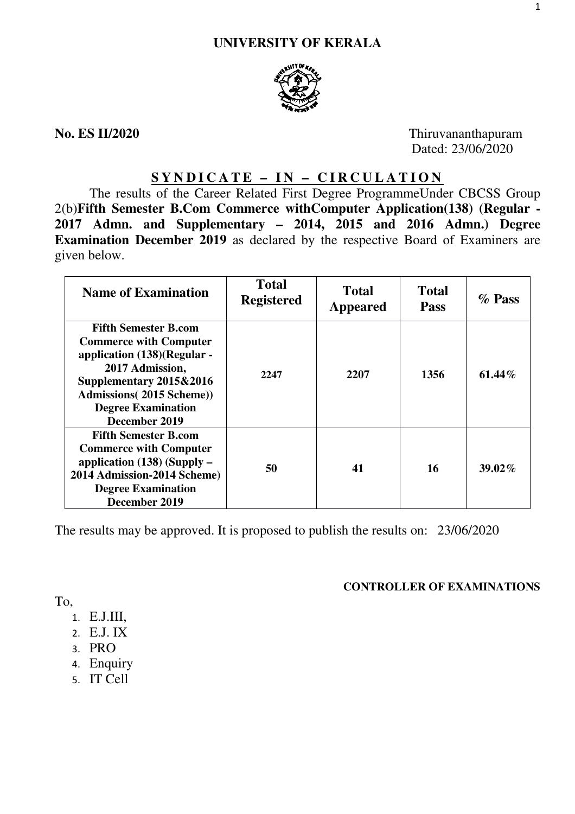

**No. ES II/2020** Thiruvananthapuram Dated: 23/06/2020

# **SYNDICATE – IN – CIRCULATION**

The results of the Career Related First Degree ProgrammeUnder CBCSS Group 2(b)**Fifth Semester B.Com Commerce withComputer Application(138) (Regular - 2017 Admn. and Supplementary – 2014, 2015 and 2016 Admn.) Degree Examination December 2019** as declared by the respective Board of Examiners are given below.

| <b>Name of Examination</b>                                                                                                                                                                                                  | <b>Total</b><br><b>Registered</b> | <b>Total</b><br>Appeared | <b>Total</b><br><b>Pass</b> | $\%$ Pass |
|-----------------------------------------------------------------------------------------------------------------------------------------------------------------------------------------------------------------------------|-----------------------------------|--------------------------|-----------------------------|-----------|
| <b>Fifth Semester B.com</b><br><b>Commerce with Computer</b><br>application (138)(Regular -<br>2017 Admission,<br>Supplementary 2015&2016<br><b>Admissions</b> (2015 Scheme))<br><b>Degree Examination</b><br>December 2019 | 2247                              | 2207                     | 1356                        | 61.44%    |
| <b>Fifth Semester B.com</b><br><b>Commerce with Computer</b><br>application $(138)$ (Supply –<br>2014 Admission-2014 Scheme)<br><b>Degree Examination</b><br>December 2019                                                  | 50                                | 41                       | 16                          | $39.02\%$ |

The results may be approved. It is proposed to publish the results on: 23/06/2020

# **CONTROLLER OF EXAMINATIONS**

To,

- 1. E.J.III,
- 2. E.J. IX
- 3. PRO
- 4. Enquiry
- 5. IT Cell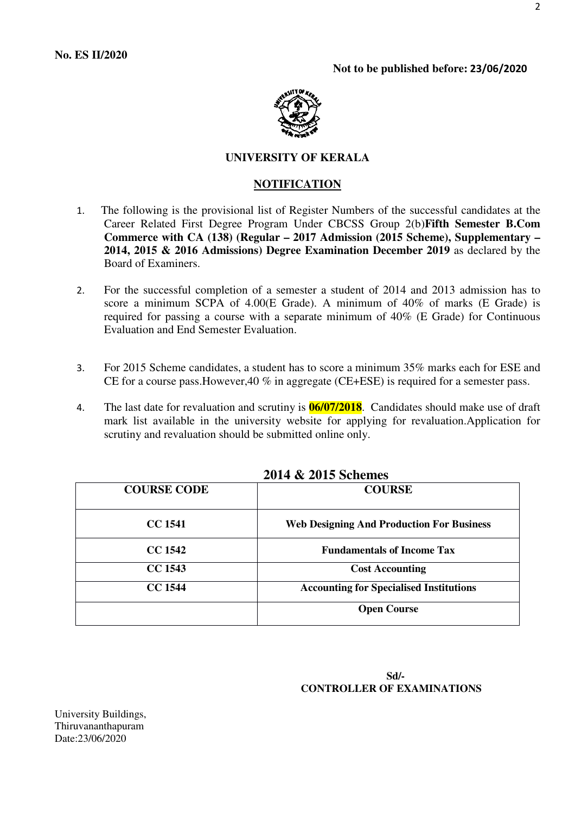

# **UNIVERSITY OF KERALA**

#### **NOTIFICATION**

- 1. The following is the provisional list of Register Numbers of the successful candidates at the Career Related First Degree Program Under CBCSS Group 2(b)**Fifth Semester B.Com Commerce with CA (138) (Regular – 2017 Admission (2015 Scheme), Supplementary – 2014, 2015 & 2016 Admissions) Degree Examination December 2019** as declared by the Board of Examiners.
- 2. For the successful completion of a semester a student of 2014 and 2013 admission has to score a minimum SCPA of 4.00(E Grade). A minimum of 40% of marks (E Grade) is required for passing a course with a separate minimum of 40% (E Grade) for Continuous Evaluation and End Semester Evaluation.
- 3. For 2015 Scheme candidates, a student has to score a minimum 35% marks each for ESE and CE for a course pass.However,40 % in aggregate (CE+ESE) is required for a semester pass.
- 4. The last date for revaluation and scrutiny is **06/07/2018**. Candidates should make use of draft mark list available in the university website for applying for revaluation.Application for scrutiny and revaluation should be submitted online only.

| <b>COURSE CODE</b> | <b>COURSE</b>                                    |
|--------------------|--------------------------------------------------|
| <b>CC 1541</b>     | <b>Web Designing And Production For Business</b> |
| <b>CC 1542</b>     | <b>Fundamentals of Income Tax</b>                |
| <b>CC 1543</b>     | <b>Cost Accounting</b>                           |
| <b>CC 1544</b>     | <b>Accounting for Specialised Institutions</b>   |
|                    | <b>Open Course</b>                               |

# **2014 & 2015 Schemes**

### **Sd/- CONTROLLER OF EXAMINATIONS**

University Buildings, Thiruvananthapuram Date:23/06/2020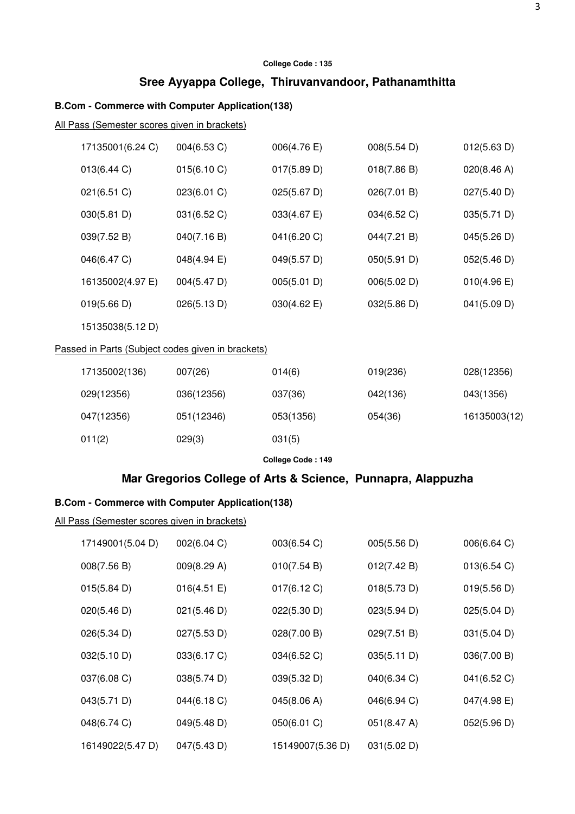# **Sree Ayyappa College, Thiruvanvandoor, Pathanamthitta**

### **B.Com - Commerce with Computer Application(138)**

All Pass (Semester scores given in brackets)

| 17135001(6.24 C) | 004(6.53 C) | 006(4.76)             | 008(5.54 D) | 012(5.63 D) |
|------------------|-------------|-----------------------|-------------|-------------|
| 013(6.44 C)      | 015(6.10 C) | 017(5.89 D)           | 018(7.86 B) | 020(8.46 A) |
| 021(6.51)        | 023(6.01 C) | $025(5.67 \text{ D})$ | 026(7.01 B) | 027(5.40 D) |
| 030(5.81 D)      | 031(6.52 C) | 033(4.67 E)           | 034(6.52 C) | 035(5.71 D) |
| 039(7.52 B)      | 040(7.16 B) | 041(6.20 C)           | 044(7.21 B) | 045(5.26 D) |
| 046(6.47 C)      | 048(4.94 E) | 049(5.57 D)           | 050(5.91 D) | 052(5.46 D) |
| 16135002(4.97 E) | 004(5.47 D) | 005(5.01 D)           | 006(5.02 D) | 010(4.96 E) |
| 019(5.66 D)      | 026(5.13 D) | 030(4.62 E)           | 032(5.86 D) | 041(5.09 D) |
|                  |             |                       |             |             |

15135038(5.12 D)

## Passed in Parts (Subject codes given in brackets)

| 17135002(136) | 007(26)    | 014(6)    | 019(236) | 028(12356)   |
|---------------|------------|-----------|----------|--------------|
| 029(12356)    | 036(12356) | 037(36)   | 042(136) | 043(1356)    |
| 047(12356)    | 051(12346) | 053(1356) | 054(36)  | 16135003(12) |
| 011(2)        | 029(3)     | 031(5)    |          |              |

**College Code : 149** 

# **Mar Gregorios College of Arts & Science, Punnapra, Alappuzha**

## **B.Com - Commerce with Computer Application(138)**

| 17149001(5.04 D) | 002(6.04 C) | 003(6.54 C)      | 005(5.56 D) | 006(6.64 C) |
|------------------|-------------|------------------|-------------|-------------|
| 008(7.56 B)      | 009(8.29 A) | 010(7.54 B)      | 012(7.42 B) | 013(6.54)   |
| 015(5.84 D)      | 016(4.51 E) | 017(6.12 C)      | 018(5.73 D) | 019(5.56 D) |
| 020(5.46 D)      | 021(5.46 D) | 022(5.30 D)      | 023(5.94 D) | 025(5.04 D) |
| 026(5.34 D)      | 027(5.53 D) | 028(7.00 B)      | 029(7.51 B) | 031(5.04 D) |
| 032(5.10 D)      | 033(6.17 C) | 034(6.52 C)      | 035(5.11 D) | 036(7.00 B) |
| 037(6.08 C)      | 038(5.74 D) | 039(5.32 D)      | 040(6.34 C) | 041(6.52 C) |
| 043(5.71 D)      | 044(6.18 C) | 045(8.06 A)      | 046(6.94 C) | 047(4.98 E) |
| 048(6.74 C)      | 049(5.48 D) | 050(6.01 C)      | 051(8.47 A) | 052(5.96 D) |
| 16149022(5.47 D) | 047(5.43 D) | 15149007(5.36 D) | 031(5.02 D) |             |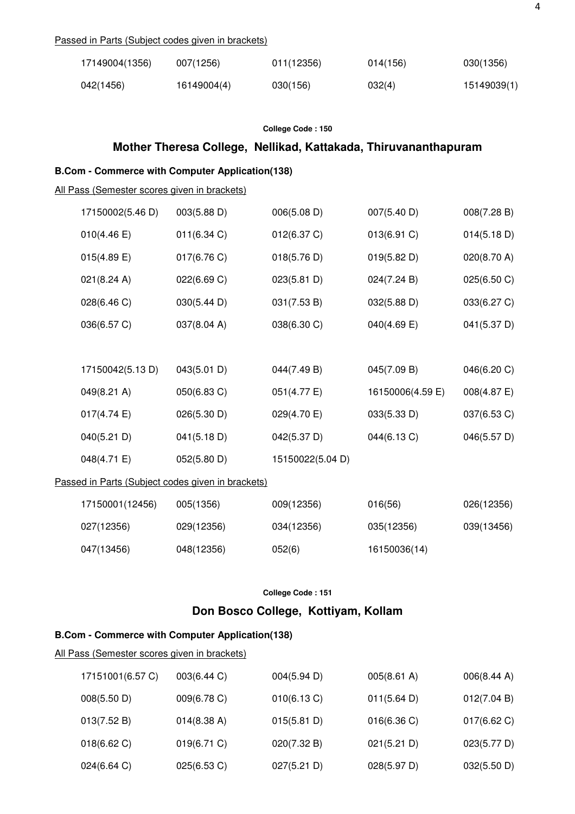#### Passed in Parts (Subject codes given in brackets)

| 17149004(1356) | 007(1256)   | 011(12356) | 014(156) | 030(1356)   |
|----------------|-------------|------------|----------|-------------|
| 042(1456)      | 16149004(4) | 030(156)   | 032(4)   | 15149039(1) |

#### **College Code : 150**

# **Mother Theresa College, Nellikad, Kattakada, Thiruvananthapuram**

### **B.Com - Commerce with Computer Application(138)**

All Pass (Semester scores given in brackets)

| 17150002(5.46 D) | 003(5.88 D)                                       | 006(5.08 D)      | 007(5.40 D)      | 008(7.28 B) |
|------------------|---------------------------------------------------|------------------|------------------|-------------|
| 010(4.46 E)      | 011(6.34 C)                                       | 012(6.37 C)      | 013(6.91 C)      | 014(5.18 D) |
| 015(4.89 E)      | 017(6.76 C)                                       | 018(5.76 D)      | 019(5.82 D)      | 020(8.70 A) |
| 021(8.24 A)      | 022(6.69 C)                                       | 023(5.81 D)      | 024(7.24 B)      | 025(6.50 C) |
| 028(6.46 C)      | 030(5.44 D)                                       | 031(7.53 B)      | 032(5.88 D)      | 033(6.27 C) |
| 036(6.57 C)      | 037(8.04 A)                                       | 038(6.30 C)      | 040(4.69 E)      | 041(5.37 D) |
|                  |                                                   |                  |                  |             |
| 17150042(5.13 D) | 043(5.01 D)                                       | 044(7.49 B)      | 045(7.09 B)      | 046(6.20 C) |
| 049(8.21 A)      | 050(6.83 C)                                       | 051(4.77 E)      | 16150006(4.59 E) | 008(4.87 E) |
| 017(4.74 E)      | 026(5.30 D)                                       | 029(4.70 E)      | 033(5.33 D)      | 037(6.53 C) |
| 040(5.21 D)      | 041(5.18 D)                                       | 042(5.37 D)      | 044(6.13 C)      | 046(5.57 D) |
| 048(4.71 E)      | 052(5.80 D)                                       | 15150022(5.04 D) |                  |             |
|                  | Passed in Parts (Subject codes given in brackets) |                  |                  |             |
| 17150001(12456)  | 005(1356)                                         | 009(12356)       | 016(56)          | 026(12356)  |
| 027(12356)       | 029(12356)                                        | 034(12356)       | 035(12356)       | 039(13456)  |
| 047(13456)       | 048(12356)                                        | 052(6)           | 16150036(14)     |             |

**College Code : 151** 

### **Don Bosco College, Kottiyam, Kollam**

# **B.Com - Commerce with Computer Application(138)**

| 17151001(6.57 C) | 003(6.44 C) | 004(5.94 D) | $005(8.61 \text{ A})$ | 006(8.44 A) |
|------------------|-------------|-------------|-----------------------|-------------|
| 008(5.50 D)      | 009(6.78 C) | 010(6.13 C) | 011(5.64 D)           | 012(7.04 B) |
| 013(7.52 B)      | 014(8.38 A) | 015(5.81 D) | 016(6.36)             | 017(6.62)   |
| 018(6.62)        | 019(6.71)   | 020(7.32 B) | 021(5.21 D)           | 023(5.77 D) |
| 024(6.64 C)      | 025(6.53 C) | 027(5.21 D) | 028(5.97 D)           | 032(5.50 D) |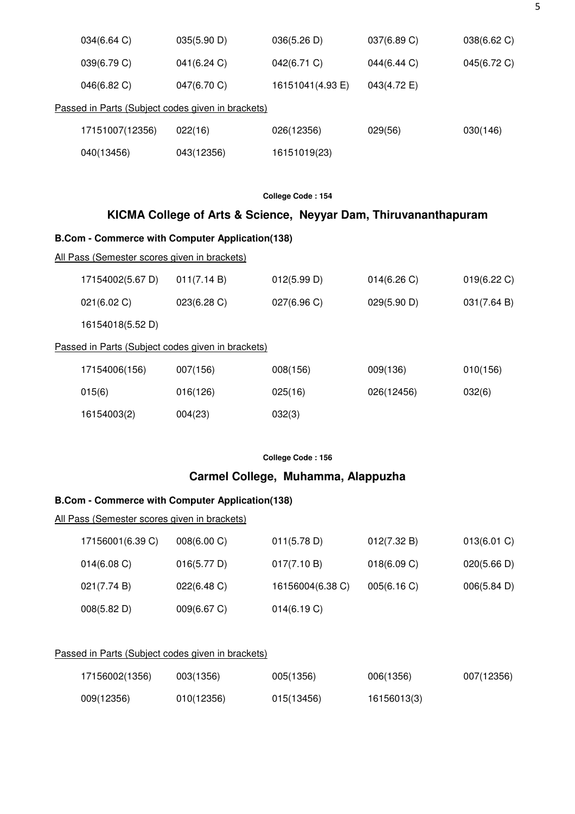| 034(6.64 C)     | 035(5.90 D)                                       | 036(5.26 D)      | 037(6.89 C) | 038(6.62 C) |
|-----------------|---------------------------------------------------|------------------|-------------|-------------|
| 039(6.79 C)     | 041(6.24 C)                                       | 042(6.71 C)      | 044(6.44 C) | 045(6.72 C) |
| 046(6.82 C)     | 047(6.70 C)                                       | 16151041(4.93 E) | 043(4.72 E) |             |
|                 | Passed in Parts (Subject codes given in brackets) |                  |             |             |
| 17151007(12356) | 022(16)                                           | 026(12356)       | 029(56)     | 030(146)    |
| 040(13456)      | 043(12356)                                        | 16151019(23)     |             |             |

# **KICMA College of Arts & Science, Neyyar Dam, Thiruvananthapuram**

### **B.Com - Commerce with Computer Application(138)**

#### All Pass (Semester scores given in brackets)

| 17154002(5.67 D) | 011(7.14 B)                                       | 012(5.99 D) | 014(6.26)   | 019(6.22)   |
|------------------|---------------------------------------------------|-------------|-------------|-------------|
| 021(6.02 C)      | 023(6.28 C)                                       | 027(6.96)   | 029(5.90 D) | 031(7.64 B) |
| 16154018(5.52 D) |                                                   |             |             |             |
|                  | Passed in Parts (Subject codes given in brackets) |             |             |             |
| 17154006(156)    | 007(156)                                          | 008(156)    | 009(136)    | 010(156)    |
| 015(6)           | 016(126)                                          | 025(16)     | 026(12456)  | 032(6)      |
| 16154003(2)      | 004(23)                                           | 032(3)      |             |             |

#### **College Code : 156**

# **Carmel College, Muhamma, Alappuzha**

### **B.Com - Commerce with Computer Application(138)**

#### All Pass (Semester scores given in brackets)

| 17156001(6.39 C) | 008(6.00 C) | 011(5.78 D)      | 012(7.32 B) | 013(6.01)   |
|------------------|-------------|------------------|-------------|-------------|
| 014(6.08)        | 016(5.77 D) | 017(7.10 B)      | 018(6.09 C) | 020(5.66 D) |
| 021(7.74 B)      | 022(6.48)   | 16156004(6.38 C) | 005(6.16)   | 006(5.84 D) |
| 008(5.82 D)      | 009(6.67 C) | 014(6.19 C)      |             |             |

## Passed in Parts (Subject codes given in brackets)

| 17156002(1356) | 003(1356)  | 005(1356)  | 006(1356)   | 007(12356) |
|----------------|------------|------------|-------------|------------|
| 009(12356)     | 010(12356) | 015(13456) | 16156013(3) |            |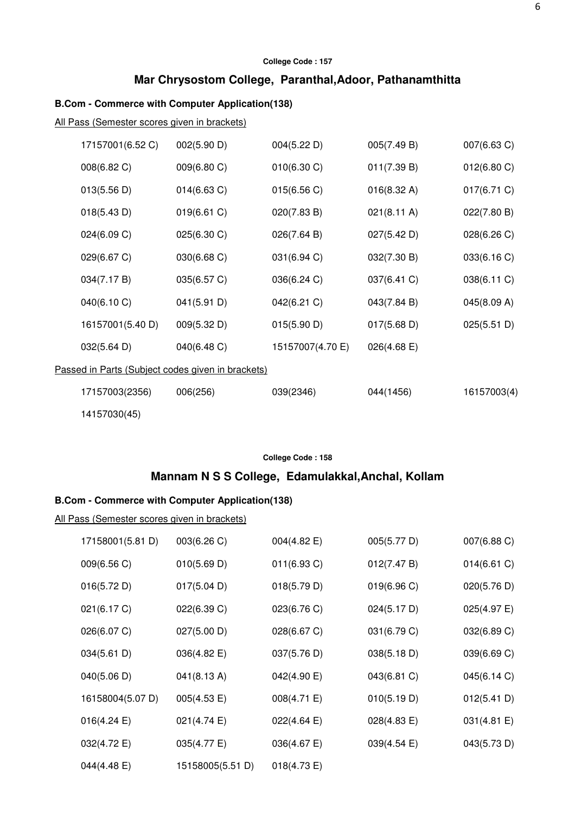# **Mar Chrysostom College, Paranthal,Adoor, Pathanamthitta**

### **B.Com - Commerce with Computer Application(138)**

All Pass (Semester scores given in brackets)

|                                                   | 17157001(6.52 C) | 002(5.90 D) | 004(5.22 D)      | 005(7.49 B)           | 007(6.63 C)           |  |
|---------------------------------------------------|------------------|-------------|------------------|-----------------------|-----------------------|--|
|                                                   | 008(6.82 C)      | 009(6.80 C) | 010(6.30 C)      | 011(7.39 B)           | $012(6.80 \text{ C})$ |  |
|                                                   | 013(5.56 D)      | 014(6.63 C) | 015(6.56 C)      | 016(8.32 A)           | 017(6.71)             |  |
|                                                   | 018(5.43 D)      | 019(6.61 C) | 020(7.83 B)      | $021(8.11 \text{ A})$ | 022(7.80 B)           |  |
|                                                   | 024(6.09 C)      | 025(6.30 C) | 026(7.64 B)      | 027(5.42 D)           | 028(6.26 C)           |  |
|                                                   | 029(6.67 C)      | 030(6.68 C) | 031(6.94 C)      | 032(7.30 B)           | 033(6.16 C)           |  |
|                                                   | 034(7.17 B)      | 035(6.57 C) | 036(6.24 C)      | 037(6.41 C)           | 038(6.11 C)           |  |
|                                                   | 040(6.10 C)      | 041(5.91 D) | 042(6.21 C)      | 043(7.84 B)           | 045(8.09 A)           |  |
|                                                   | 16157001(5.40 D) | 009(5.32 D) | 015(5.90 D)      | 017(5.68 D)           | 025(5.51 D)           |  |
|                                                   | 032(5.64 D)      | 040(6.48 C) | 15157007(4.70 E) | $026(4.68 \text{ E})$ |                       |  |
| Passed in Parts (Subject codes given in brackets) |                  |             |                  |                       |                       |  |
|                                                   | 17157003(2356)   | 006(256)    | 039(2346)        | 044(1456)             | 16157003(4)           |  |
|                                                   | 14157030(45)     |             |                  |                       |                       |  |

**College Code : 158** 

# **Mannam N S S College, Edamulakkal,Anchal, Kollam**

# **B.Com - Commerce with Computer Application(138)**

| 17158001(5.81 D)      | 003(6.26)        | 004(4.82 E) | 005(5.77 D) | 007(6.88 C) |
|-----------------------|------------------|-------------|-------------|-------------|
| 009(6.56 C)           | 010(5.69 D)      | 011(6.93 C) | 012(7.47 B) | 014(6.61 C) |
| 016(5.72 D)           | 017(5.04 D)      | 018(5.79 D) | 019(6.96 C) | 020(5.76 D) |
| 021(6.17 C)           | 022(6.39 C)      | 023(6.76 C) | 024(5.17 D) | 025(4.97 E) |
| 026(6.07 C)           | 027(5.00 D)      | 028(6.67 C) | 031(6.79 C) | 032(6.89 C) |
| 034(5.61 D)           | 036(4.82 E)      | 037(5.76 D) | 038(5.18 D) | 039(6.69 C) |
| 040(5.06 D)           | 041(8.13 A)      | 042(4.90 E) | 043(6.81 C) | 045(6.14 C) |
| 16158004(5.07 D)      | 005(4.53 E)      | 008(4.71 E) | 010(5.19 D) | 012(5.41 D) |
| $016(4.24 \text{ E})$ | 021(4.74 E)      | 022(4.64 E) | 028(4.83 E) | 031(4.81 E) |
| 032(4.72 E)           | 035(4.77 E)      | 036(4.67 E) | 039(4.54 E) | 043(5.73 D) |
| 044(4.48 E)           | 15158005(5.51 D) | 018(4.73 E) |             |             |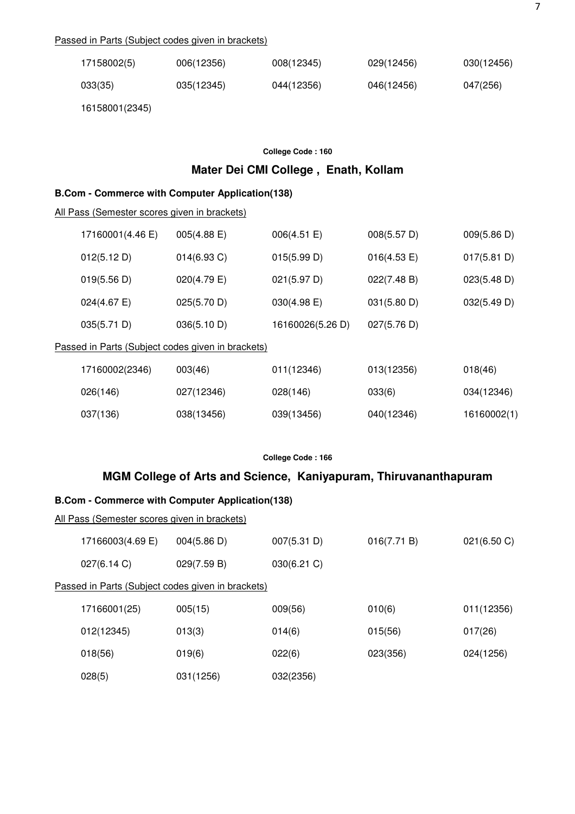### Passed in Parts (Subject codes given in brackets)

| 17158002(5) | 006(12356) | 008(12345) | 029(12456) | 030(12456) |
|-------------|------------|------------|------------|------------|
| 033(35)     | 035(12345) | 044(12356) | 046(12456) | 047(256)   |

16158001(2345)

#### **College Code : 160**

# **Mater Dei CMI College , Enath, Kollam**

#### **B.Com - Commerce with Computer Application(138)**

All Pass (Semester scores given in brackets)

| 17160001(4.46 E)      | $005(4.88 \text{ E})$                             | 006(4.51 E)      | 008(5.57 D)           | 009(5.86 D) |
|-----------------------|---------------------------------------------------|------------------|-----------------------|-------------|
| 012(5.12 D)           | $014(6.93)$ C)                                    | 015(5.99 D)      | $016(4.53 \text{ E})$ | 017(5.81 D) |
| 019(5.56 D)           | $020(4.79)$ E)                                    | 021(5.97 D)      | 022(7.48 B)           | 023(5.48 D) |
| $024(4.67 \text{ E})$ | 025(5.70 D)                                       | $030(4.98)$ E)   | 031(5.80 D)           | 032(5.49 D) |
| 035(5.71 D)           | 036(5.10 D)                                       | 16160026(5.26 D) | 027(5.76 D)           |             |
|                       | Passed in Parts (Subject codes given in brackets) |                  |                       |             |
| 17160002(2346)        | 003(46)                                           | 011(12346)       | 013(12356)            | 018(46)     |
| 026(146)              | 027(12346)                                        | 028(146)         | 033(6)                | 034(12346)  |
| 037(136)              | 038(13456)                                        | 039(13456)       | 040(12346)            | 16160002(1) |

#### **College Code : 166**

## **MGM College of Arts and Science, Kaniyapuram, Thiruvananthapuram**

#### **B.Com - Commerce with Computer Application(138)**

| <u>All Pass (Semester scores given in brackets)</u> |                                                   |             |             |             |  |  |  |  |
|-----------------------------------------------------|---------------------------------------------------|-------------|-------------|-------------|--|--|--|--|
| 17166003(4.69 E)                                    | $004(5.86 \text{ D})$                             | 007(5.31 D) | 016(7.71 B) | 021(6.50 C) |  |  |  |  |
| 027(6.14 C)                                         | 029(7.59 B)                                       | 030(6.21 C) |             |             |  |  |  |  |
|                                                     | Passed in Parts (Subject codes given in brackets) |             |             |             |  |  |  |  |
| 17166001(25)                                        | 005(15)                                           | 009(56)     | 010(6)      | 011(12356)  |  |  |  |  |
| 012(12345)                                          | 013(3)                                            | 014(6)      | 015(56)     | 017(26)     |  |  |  |  |
| 018(56)                                             | 019(6)                                            | 022(6)      | 023(356)    | 024(1256)   |  |  |  |  |
| 028(5)                                              | 031(1256)                                         | 032(2356)   |             |             |  |  |  |  |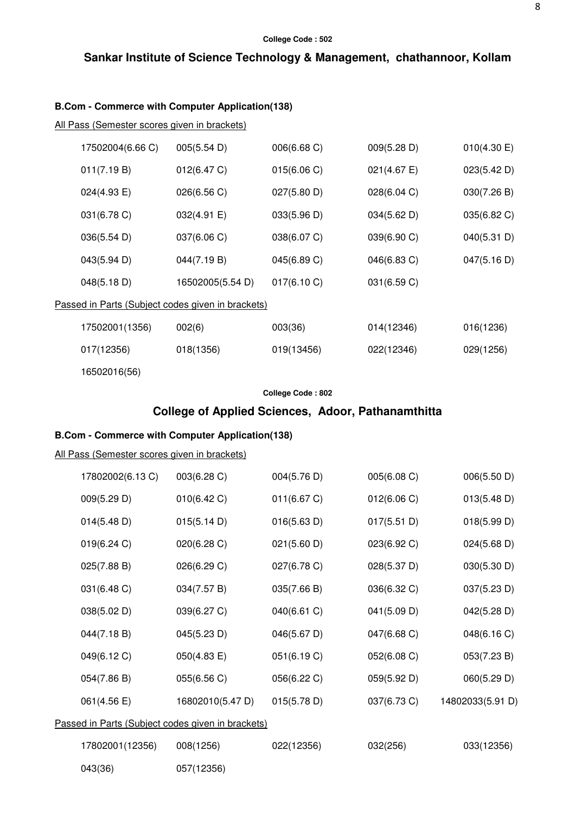# **Sankar Institute of Science Technology & Management, chathannoor, Kollam**

### **B.Com - Commerce with Computer Application(138)**

All Pass (Semester scores given in brackets)

| 17502004(6.66 C) | 005(5.54 D)                                       | 006(6.68 C) | 009(5.28 D) | $010(4.30)$ E) |
|------------------|---------------------------------------------------|-------------|-------------|----------------|
| 011(7.19 B)      | 012(6.47 C)                                       | 015(6.06 C) | 021(4.67 E) | 023(5.42 D)    |
| 024(4.93 E)      | 026(6.56 C)                                       | 027(5.80 D) | 028(6.04 C) | 030(7.26 B)    |
| 031(6.78 C)      | 032(4.91 E)                                       | 033(5.96 D) | 034(5.62 D) | 035(6.82 C)    |
| 036(5.54 D)      | 037(6.06 C)                                       | 038(6.07 C) | 039(6.90 C) | 040(5.31 D)    |
| 043(5.94 D)      | 044(7.19 B)                                       | 045(6.89 C) | 046(6.83 C) | 047(5.16 D)    |
| 048(5.18 D)      | 16502005(5.54 D)                                  | 017(6.10 C) | 031(6.59 C) |                |
|                  | Passed in Parts (Subject codes given in brackets) |             |             |                |
| 17502001(1356)   | 002(6)                                            | 003(36)     | 014(12346)  | 016(1236)      |
| 017(12356)       | 018(1356)                                         | 019(13456)  | 022(12346)  | 029(1256)      |
| 16502016(56)     |                                                   |             |             |                |

### **College Code : 802**

# **College of Applied Sciences, Adoor, Pathanamthitta**

# **B.Com - Commerce with Computer Application(138)**

|                                                   | 17802002(6.13 C) | 003(6.28 C)      | 004(5.76 D) | 005(6.08 C) | 006(5.50 D)      |  |
|---------------------------------------------------|------------------|------------------|-------------|-------------|------------------|--|
|                                                   | 009(5.29 D)      | 010(6.42 C)      | 011(6.67 C) | 012(6.06 C) | 013(5.48 D)      |  |
|                                                   | 014(5.48 D)      | 015(5.14 D)      | 016(5.63 D) | 017(5.51 D) | 018(5.99 D)      |  |
|                                                   | 019(6.24 C)      | 020(6.28 C)      | 021(5.60 D) | 023(6.92 C) | 024(5.68 D)      |  |
|                                                   | 025(7.88 B)      | 026(6.29 C)      | 027(6.78 C) | 028(5.37 D) | 030(5.30 D)      |  |
|                                                   | 031(6.48 C)      | 034(7.57 B)      | 035(7.66 B) | 036(6.32 C) | 037(5.23 D)      |  |
|                                                   | 038(5.02 D)      | 039(6.27 C)      | 040(6.61 C) | 041(5.09 D) | 042(5.28 D)      |  |
|                                                   | 044(7.18 B)      | 045(5.23 D)      | 046(5.67 D) | 047(6.68 C) | 048(6.16 C)      |  |
|                                                   | 049(6.12 C)      | 050(4.83 E)      | 051(6.19 C) | 052(6.08 C) | 053(7.23 B)      |  |
|                                                   | 054(7.86 B)      | 055(6.56 C)      | 056(6.22 C) | 059(5.92 D) | 060(5.29 D)      |  |
|                                                   | 061(4.56 E)      | 16802010(5.47 D) | 015(5.78 D) | 037(6.73 C) | 14802033(5.91 D) |  |
| Passed in Parts (Subject codes given in brackets) |                  |                  |             |             |                  |  |
|                                                   | 17802001(12356)  | 008(1256)        | 022(12356)  | 032(256)    | 033(12356)       |  |
|                                                   | 043(36)          | 057(12356)       |             |             |                  |  |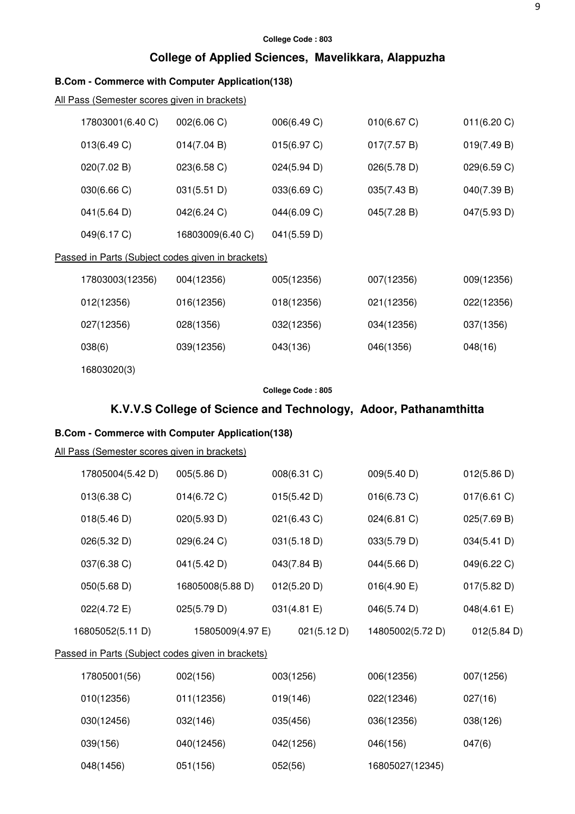# **College of Applied Sciences, Mavelikkara, Alappuzha**

# **B.Com - Commerce with Computer Application(138)**

### All Pass (Semester scores given in brackets)

| 17803001(6.40 C) | 002(6.06 C)                                       | 006(6.49 C) | 010(6.67 C) | 011(6.20 C) |
|------------------|---------------------------------------------------|-------------|-------------|-------------|
| 013(6.49 C)      | 014(7.04 B)                                       | 015(6.97 C) | 017(7.57 B) | 019(7.49 B) |
| 020(7.02 B)      | 023(6.58 C)                                       | 024(5.94 D) | 026(5.78 D) | 029(6.59 C) |
| 030(6.66 C)      | 031(5.51 D)                                       | 033(6.69 C) | 035(7.43 B) | 040(7.39 B) |
| 041(5.64 D)      | 042(6.24 C)                                       | 044(6.09 C) | 045(7.28 B) | 047(5.93 D) |
| 049(6.17 C)      | 16803009(6.40 C)                                  | 041(5.59 D) |             |             |
|                  | Passed in Parts (Subject codes given in brackets) |             |             |             |
| 17803003(12356)  | 004(12356)                                        | 005(12356)  | 007(12356)  | 009(12356)  |
| 012(12356)       | 016(12356)                                        | 018(12356)  | 021(12356)  | 022(12356)  |
| 027(12356)       | 028(1356)                                         | 032(12356)  | 034(12356)  | 037(1356)   |
| 038(6)           | 039(12356)                                        | 043(136)    | 046(1356)   | 048(16)     |
| 16803020(3)      |                                                   |             |             |             |

#### **College Code : 805**

# **K.V.V.S College of Science and Technology, Adoor, Pathanamthitta**

# **B.Com - Commerce with Computer Application(138)**

| 17805004(5.42 D)                                  | 005(5.86 D)      |          | 008(6.31 C) | 009(5.40 D)      |  | 012(5.86 D) |  |  |  |
|---------------------------------------------------|------------------|----------|-------------|------------------|--|-------------|--|--|--|
| 013(6.38 C)                                       | 014(6.72 C)      |          | 015(5.42 D) | 016(6.73 C)      |  | 017(6.61)   |  |  |  |
| 018(5.46 D)                                       | 020(5.93 D)      |          | 021(6.43 C) | 024(6.81 C)      |  | 025(7.69 B) |  |  |  |
| 026(5.32 D)                                       | 029(6.24 C)      |          | 031(5.18 D) | 033(5.79 D)      |  | 034(5.41 D) |  |  |  |
| 037(6.38 C)                                       | 041(5.42 D)      |          | 043(7.84 B) | 044(5.66 D)      |  | 049(6.22 C) |  |  |  |
| 050(5.68 D)                                       | 16805008(5.88 D) |          | 012(5.20 D) | 016(4.90 E)      |  | 017(5.82 D) |  |  |  |
| 022(4.72 E)                                       | 025(5.79 D)      |          | 031(4.81 E) | 046(5.74 D)      |  | 048(4.61 E) |  |  |  |
| 16805052(5.11 D)                                  | 15805009(4.97 E) |          | 021(5.12 D) | 14805002(5.72 D) |  | 012(5.84 D) |  |  |  |
| Passed in Parts (Subject codes given in brackets) |                  |          |             |                  |  |             |  |  |  |
| 17805001(56)                                      | 002(156)         |          | 003(1256)   | 006(12356)       |  | 007(1256)   |  |  |  |
| 010(12356)                                        | 011(12356)       | 019(146) |             | 022(12346)       |  | 027(16)     |  |  |  |
|                                                   |                  |          |             |                  |  |             |  |  |  |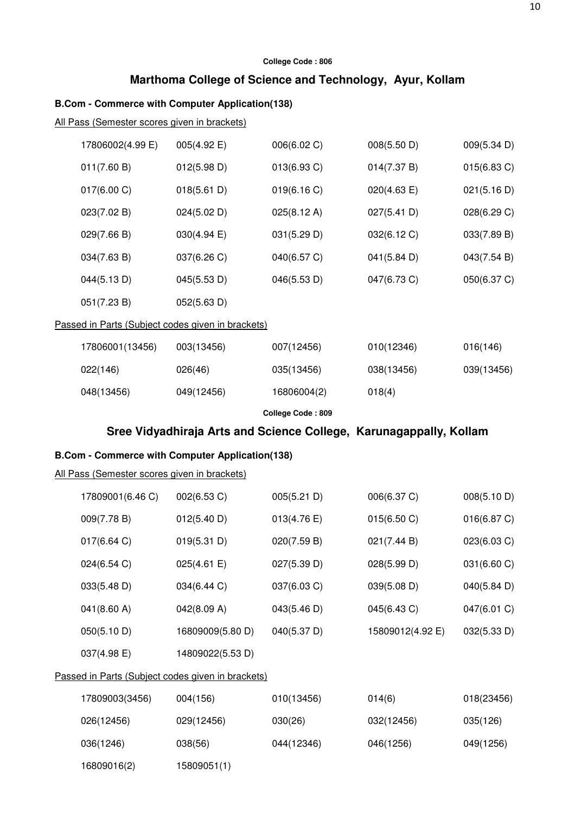# **Marthoma College of Science and Technology, Ayur, Kollam**

# **B.Com - Commerce with Computer Application(138)**

All Pass (Semester scores given in brackets)

| 17806002(4.99 E)                                                   | 005(4.92 E)      | 006(6.02 C)       | 008(5.50 D)      | 009(5.34 D)           |  |  |  |  |
|--------------------------------------------------------------------|------------------|-------------------|------------------|-----------------------|--|--|--|--|
| 011(7.60 B)                                                        | 012(5.98 D)      | 013(6.93 C)       | 014(7.37 B)      | 015(6.83 C)           |  |  |  |  |
| 017(6.00 C)                                                        | 018(5.61 D)      | 019(6.16 C)       | 020(4.63 E)      | 021(5.16 D)           |  |  |  |  |
| 023(7.02 B)                                                        | 024(5.02 D)      | 025(8.12 A)       | 027(5.41 D)      | 028(6.29 C)           |  |  |  |  |
| 029(7.66 B)                                                        | 030(4.94 E)      | 031(5.29 D)       | 032(6.12 C)      | 033(7.89 B)           |  |  |  |  |
| 034(7.63 B)                                                        | 037(6.26 C)      | 040(6.57 C)       | 041(5.84 D)      | 043(7.54 B)           |  |  |  |  |
| 044(5.13D)                                                         | 045(5.53 D)      | 046(5.53 D)       | 047(6.73 C)      | 050(6.37 C)           |  |  |  |  |
| 051(7.23 B)                                                        | 052(5.63 D)      |                   |                  |                       |  |  |  |  |
| Passed in Parts (Subject codes given in brackets)                  |                  |                   |                  |                       |  |  |  |  |
| 17806001(13456)                                                    | 003(13456)       | 007(12456)        | 010(12346)       | 016(146)              |  |  |  |  |
| 022(146)                                                           | 026(46)          | 035(13456)        | 038(13456)       | 039(13456)            |  |  |  |  |
| 048(13456)                                                         | 049(12456)       | 16806004(2)       | 018(4)           |                       |  |  |  |  |
|                                                                    |                  | College Code: 809 |                  |                       |  |  |  |  |
| Sree Vidyadhiraja Arts and Science College, Karunagappally, Kollam |                  |                   |                  |                       |  |  |  |  |
|                                                                    |                  |                   |                  |                       |  |  |  |  |
| <b>B.Com - Commerce with Computer Application(138)</b>             |                  |                   |                  |                       |  |  |  |  |
|                                                                    |                  |                   |                  |                       |  |  |  |  |
| 17809001(6.46 C)                                                   | 002(6.53 C)      | 005(5.21 D)       | 006(6.37 C)      | 008(5.10 D)           |  |  |  |  |
| All Pass (Semester scores given in brackets)<br>009(7.78 B)        | 012(5.40 D)      | 013(4.76)         | 015(6.50 C)      | 016(6.87 C)           |  |  |  |  |
| 017(6.64 C)                                                        | 019(5.31 D)      | 020(7.59 B)       | 021(7.44 B)      | 023(6.03 C)           |  |  |  |  |
| 024(6.54 C)                                                        | 025(4.61 E)      | 027(5.39 D)       | 028(5.99 D)      | 031(6.60 C)           |  |  |  |  |
| 033(5.48 D)                                                        | 034(6.44 C)      | 037(6.03 C)       | 039(5.08 D)      | $040(5.84 \text{ D})$ |  |  |  |  |
| 041(8.60 A)                                                        | 042(8.09 A)      | 043(5.46 D)       | 045(6.43 C)      | 047(6.01 C)           |  |  |  |  |
| 050(5.10 D)                                                        | 16809009(5.80 D) | 040(5.37 D)       | 15809012(4.92 E) | 032(5.33 D)           |  |  |  |  |
| 037(4.98 E)                                                        | 14809022(5.53 D) |                   |                  |                       |  |  |  |  |
| Passed in Parts (Subject codes given in brackets)                  |                  |                   |                  |                       |  |  |  |  |
| 17809003(3456)                                                     | 004(156)         | 010(13456)        | 014(6)           | 018(23456)            |  |  |  |  |
| 026(12456)                                                         | 029(12456)       | 030(26)           | 032(12456)       | 035(126)              |  |  |  |  |

16809016(2) 15809051(1)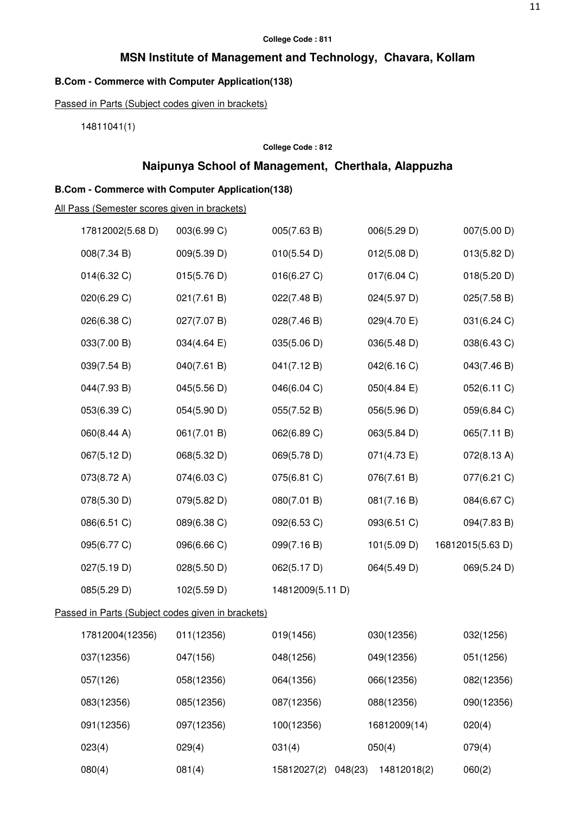## **MSN Institute of Management and Technology, Chavara, Kollam**

# **B.Com - Commerce with Computer Application(138)**

Passed in Parts (Subject codes given in brackets)

14811041(1)

#### **College Code : 812**

# **Naipunya School of Management, Cherthala, Alappuzha**

# **B.Com - Commerce with Computer Application(138)**

| 17812002(5.68 D) | 003(6.99 C)                                       | 005(7.63 B)            | 006(5.29 D)           | 007(5.00 D)      |
|------------------|---------------------------------------------------|------------------------|-----------------------|------------------|
| 008(7.34 B)      | 009(5.39 D)                                       | 010(5.54 D)            | 012(5.08 D)           | 013(5.82 D)      |
| 014(6.32 C)      | 015(5.76 D)                                       | 016(6.27 C)            | 017(6.04 C)           | 018(5.20 D)      |
| 020(6.29 C)      | 021(7.61 B)                                       | 022(7.48 B)            | 024(5.97 D)           | 025(7.58 B)      |
| 026(6.38 C)      | 027(7.07 B)                                       | 028(7.46 B)            | 029(4.70 E)           | 031(6.24 C)      |
| 033(7.00 B)      | 034(4.64 E)                                       | 035(5.06 D)            | 036(5.48 D)           | 038(6.43 C)      |
| 039(7.54 B)      | 040(7.61 B)                                       | 041(7.12 B)            | 042(6.16 C)           | 043(7.46 B)      |
| 044(7.93 B)      | 045(5.56 D)                                       | 046(6.04 C)            | $050(4.84 \text{ E})$ | 052(6.11 C)      |
| 053(6.39 C)      | 054(5.90 D)                                       | 055(7.52 B)            | 056(5.96 D)           | 059(6.84 C)      |
| 060(8.44 A)      | 061(7.01 B)                                       | 062(6.89 C)            | 063(5.84 D)           | 065(7.11 B)      |
| 067(5.12 D)      | 068(5.32 D)                                       | 069(5.78 D)            | 071(4.73 E)           | 072(8.13 A)      |
| 073(8.72 A)      | 074(6.03 C)                                       | 075(6.81 C)            | 076(7.61 B)           | 077(6.21 C)      |
| 078(5.30 D)      | 079(5.82 D)                                       | 080(7.01 B)            | 081(7.16 B)           | 084(6.67 C)      |
| 086(6.51 C)      | 089(6.38 C)                                       | 092(6.53 C)            | 093(6.51 C)           | 094(7.83 B)      |
| 095(6.77 C)      | 096(6.66 C)                                       | 099(7.16 B)            | 101(5.09 D)           | 16812015(5.63 D) |
| 027(5.19 D)      | 028(5.50 D)                                       | 062(5.17 D)            | 064(5.49 D)           | 069(5.24 D)      |
| 085(5.29 D)      | 102(5.59 D)                                       | 14812009(5.11 D)       |                       |                  |
|                  | Passed in Parts (Subject codes given in brackets) |                        |                       |                  |
| 17812004(12356)  | 011(12356)                                        | 019(1456)              | 030(12356)            | 032(1256)        |
| 037(12356)       | 047(156)                                          | 048(1256)              | 049(12356)            | 051(1256)        |
| 057(126)         | 058(12356)                                        | 064(1356)              | 066(12356)            | 082(12356)       |
| 083(12356)       | 085(12356)                                        | 087(12356)             | 088(12356)            | 090(12356)       |
| 091(12356)       | 097(12356)                                        | 100(12356)             | 16812009(14)          | 020(4)           |
| 023(4)           | 029(4)                                            | 031(4)                 | 050(4)                | 079(4)           |
| 080(4)           | 081(4)                                            | 15812027(2)<br>048(23) | 14812018(2)           | 060(2)           |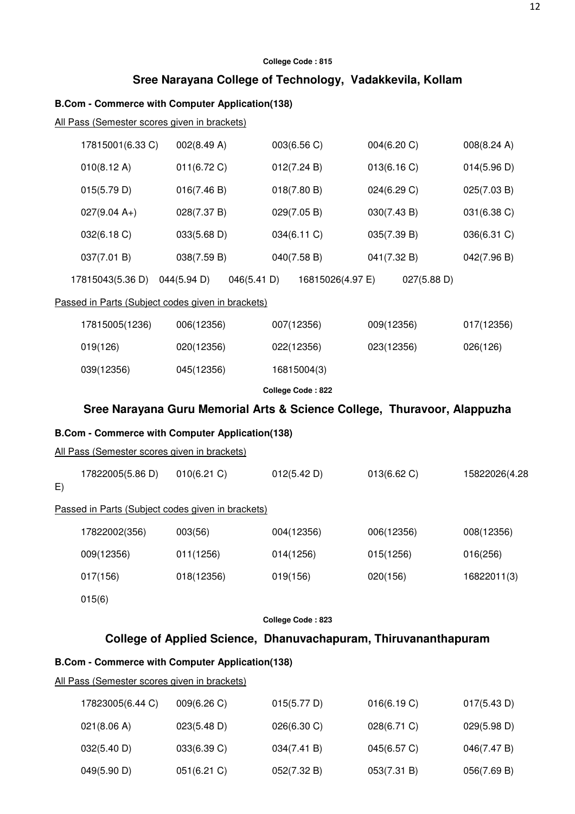# **Sree Narayana College of Technology, Vadakkevila, Kollam**

# **B.Com - Commerce with Computer Application(138)**

|    | 17815001(6.33 C)                             | 002(8.49 A)                                                              | 003(6.56 C)       | 004(6.20 C) | 008(8.24 A)   |
|----|----------------------------------------------|--------------------------------------------------------------------------|-------------------|-------------|---------------|
|    | 010(8.12 A)                                  | 011(6.72 C)                                                              | 012(7.24 B)       | 013(6.16 C) | 014(5.96 D)   |
|    | 015(5.79 D)                                  | 016(7.46 B)                                                              | 018(7.80 B)       | 024(6.29 C) | 025(7.03 B)   |
|    | $027(9.04 A+)$                               | 028(7.37 B)                                                              | 029(7.05 B)       | 030(7.43 B) | 031(6.38 C)   |
|    | 032(6.18 C)                                  | 033(5.68 D)                                                              | 034(6.11 C)       | 035(7.39 B) | 036(6.31 C)   |
|    | 037(7.01 B)                                  | 038(7.59 B)                                                              | 040(7.58 B)       | 041(7.32 B) | 042(7.96 B)   |
|    | 17815043(5.36 D) 044(5.94 D)                 | 046(5.41 D)                                                              | 16815026(4.97 E)  | 027(5.88 D) |               |
|    |                                              | Passed in Parts (Subject codes given in brackets)                        |                   |             |               |
|    | 17815005(1236)                               | 006(12356)                                                               | 007(12356)        | 009(12356)  | 017(12356)    |
|    | 019(126)                                     | 020(12356)                                                               | 022(12356)        | 023(12356)  | 026(126)      |
|    | 039(12356)                                   | 045(12356)                                                               | 16815004(3)       |             |               |
|    |                                              |                                                                          | College Code: 822 |             |               |
|    |                                              | Sree Narayana Guru Memorial Arts & Science College, Thuravoor, Alappuzha |                   |             |               |
|    |                                              | <b>B.Com - Commerce with Computer Application(138)</b>                   |                   |             |               |
|    | All Pass (Semester scores given in brackets) |                                                                          |                   |             |               |
| E) | 17822005(5.86 D)                             | 010(6.21)                                                                | 012(5.42 D)       | 013(6.62 C) | 15822026(4.28 |
|    |                                              | Passed in Parts (Subject codes given in brackets)                        |                   |             |               |
|    | 17822002(356)                                | 003(56)                                                                  | 004(12356)        | 006(12356)  | 008(12356)    |
|    | 009(12356)                                   | 011(1256)                                                                | 014(1256)         | 015(1256)   | 016(256)      |
|    | 017(156)                                     | 018(12356)                                                               | 019(156)          | 020(156)    | 16822011(3)   |
|    | 015(6)                                       |                                                                          |                   |             |               |
|    |                                              |                                                                          | College Code: 823 |             |               |
|    |                                              | College of Applied Science, Dhanuvachapuram, Thiruvananthapuram          |                   |             |               |
|    |                                              | <b>B.Com - Commerce with Computer Application(138)</b>                   |                   |             |               |
|    | All Pass (Semester scores given in brackets) |                                                                          |                   |             |               |
|    | 17823005(6.44 C)                             | 009(6.26 C)                                                              | 015(5.77 D)       | 016(6.19 C) | 017(5.43 D)   |

| 17823005(6.44 G) | 009(6.26 C) | U15(5.77)   | U16(6.19)   | $U1/(5.43)$ D) |
|------------------|-------------|-------------|-------------|----------------|
| 021(8.06 A)      | 023(5.48 D) | 026(6.30)   | 028(6.71 C) | 029(5.98 D)    |
| 032(5.40 D)      | 033(6.39 C) | 034(7.41 B) | 045(6.57 C) | 046(7.47 B)    |
| 049(5.90 D)      | 051(6.21)   | 052(7.32 B) | 053(7.31 B) | 056(7.69 B)    |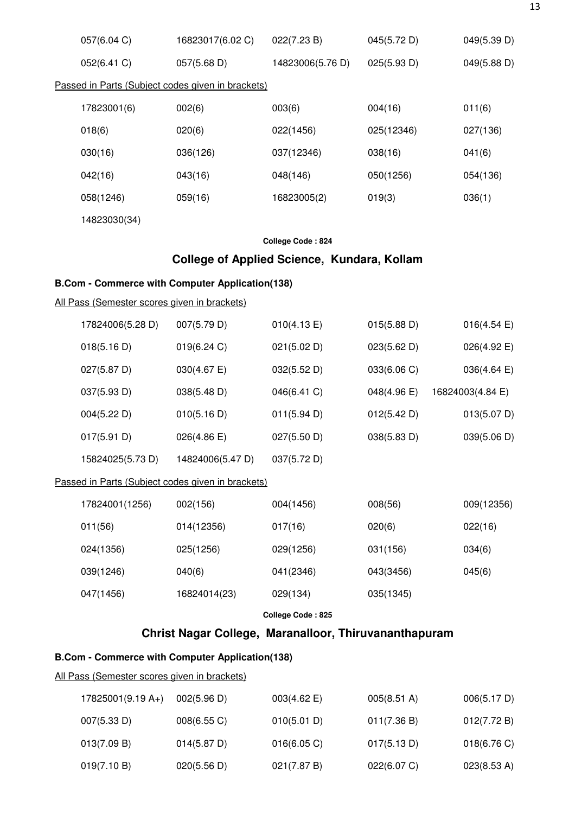| 057(6.04 C)                                       | 16823017(6.02 C)                                       | 022(7.23 B)       | 045(5.72 D) | 049(5.39 D)           |  |  |
|---------------------------------------------------|--------------------------------------------------------|-------------------|-------------|-----------------------|--|--|
| 052(6.41 C)                                       | 057(5.68 D)                                            | 14823006(5.76 D)  | 025(5.93 D) | 049(5.88 D)           |  |  |
| Passed in Parts (Subject codes given in brackets) |                                                        |                   |             |                       |  |  |
| 17823001(6)                                       | 002(6)                                                 | 003(6)            | 004(16)     | 011(6)                |  |  |
| 018(6)                                            | 020(6)                                                 | 022(1456)         | 025(12346)  | 027(136)              |  |  |
| 030(16)                                           | 036(126)                                               | 037(12346)        | 038(16)     | 041(6)                |  |  |
| 042(16)                                           | 043(16)                                                | 048(146)          | 050(1256)   | 054(136)              |  |  |
| 058(1246)                                         | 059(16)                                                | 16823005(2)       | 019(3)      | 036(1)                |  |  |
| 14823030(34)                                      |                                                        |                   |             |                       |  |  |
|                                                   |                                                        | College Code: 824 |             |                       |  |  |
|                                                   | College of Applied Science, Kundara, Kollam            |                   |             |                       |  |  |
|                                                   | <b>B.Com - Commerce with Computer Application(138)</b> |                   |             |                       |  |  |
| All Pass (Semester scores given in brackets)      |                                                        |                   |             |                       |  |  |
| 17824006(5.28 D)                                  | 007(5.79 D)                                            | 010(4.13 E)       | 015(5.88 D) | $016(4.54 \text{ E})$ |  |  |
| 018(5.16 D)                                       | 019(6.24 C)                                            | 021(5.02 D)       | 023(5.62 D) | 026(4.92 E)           |  |  |
| 027(5.87 D)                                       | 030(4.67 E)                                            | 032(5.52 D)       | 033(6.06 C) | 036(4.64 E)           |  |  |
| 037(5.93 D)                                       | 038(5.48 D)                                            | 046(6.41 C)       | 048(4.96 E) | 16824003(4.84 E)      |  |  |
| 004(5.22 D)                                       | 010(5.16 D)                                            | 011(5.94 D)       | 012(5.42 D) | 013(5.07 D)           |  |  |
| 017(5.91 D)                                       | $026(4.86 \text{ E})$                                  | 027(5.50 D)       | 038(5.83 D) | 039(5.06 D)           |  |  |
| 15824025(5.73 D)                                  | 14824006(5.47 D)                                       | 037(5.72 D)       |             |                       |  |  |
|                                                   | Passed in Parts (Subject codes given in brackets)      |                   |             |                       |  |  |
| 17824001(1256)                                    | 002(156)                                               | 004(1456)         | 008(56)     | 009(12356)            |  |  |
| 011(56)                                           | 014(12356)                                             | 017(16)           | 020(6)      | 022(16)               |  |  |
| 024(1356)                                         | 025(1256)                                              | 029(1256)         | 031(156)    | 034(6)                |  |  |
| 039(1246)                                         | 040(6)                                                 | 041(2346)         | 043(3456)   | 045(6)                |  |  |
| 047(1456)                                         | 16824014(23)                                           | 029(134)          | 035(1345)   |                       |  |  |
|                                                   |                                                        | College Code: 825 |             |                       |  |  |
|                                                   | Christ Nagar College, Maranalloor, Thiruvananthapuram  |                   |             |                       |  |  |
|                                                   | <b>B.Com - Commerce with Computer Application(138)</b> |                   |             |                       |  |  |
| All Pass (Semester scores given in brackets)      |                                                        |                   |             |                       |  |  |

| $17825001(9.19 A+)$ | 002(5.96 D) | 003(4.62)   | $005(8.51 \text{ A})$ | 006(5.17 D) |
|---------------------|-------------|-------------|-----------------------|-------------|
| 007(5.33 D)         | 008(6.55 C) | 010(5.01 D) | 011(7.36 B)           | 012(7.72 B) |
| 013(7.09 B)         | 014(5.87 D) | 016(6.05 C) | 017(5.13 D)           | 018(6.76 C) |
| 019(7.10 B)         | 020(5.56 D) | 021(7.87 B) | 022(6.07 C)           | 023(8.53 A) |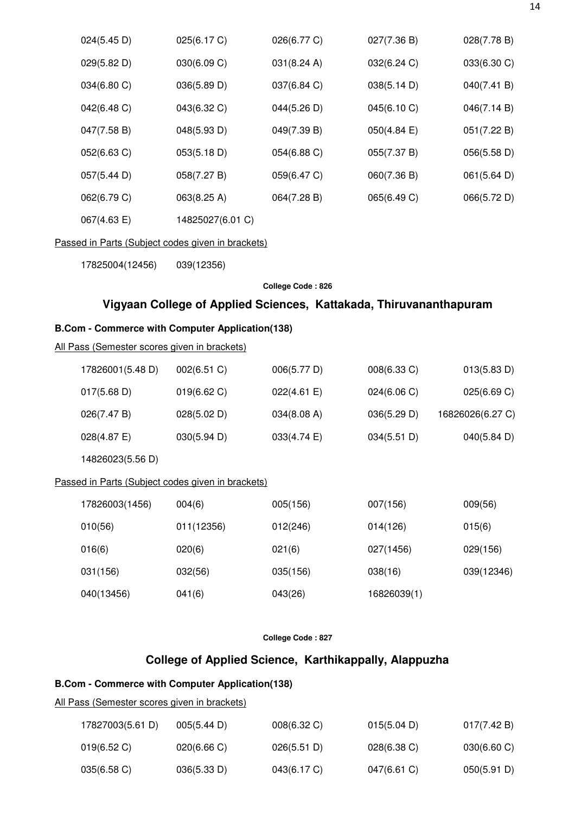|                                                        | 024(5.45 D)                                       | 025(6.17 C)                                                        | 026(6.77 C)       | 027(7.36 B) | 028(7.78 B)      |  |  |  |
|--------------------------------------------------------|---------------------------------------------------|--------------------------------------------------------------------|-------------------|-------------|------------------|--|--|--|
|                                                        | 029(5.82 D)                                       | 030(6.09 C)                                                        | 031(8.24 A)       | 032(6.24 C) | 033(6.30 C)      |  |  |  |
|                                                        | 034(6.80 C)                                       | 036(5.89 D)                                                        | 037(6.84 C)       | 038(5.14 D) | 040(7.41 B)      |  |  |  |
|                                                        | 042(6.48 C)                                       | 043(6.32 C)                                                        | 044(5.26 D)       | 045(6.10 C) | 046(7.14 B)      |  |  |  |
|                                                        | 047(7.58 B)                                       | 048(5.93 D)                                                        | 049(7.39 B)       | 050(4.84)   | 051(7.22 B)      |  |  |  |
|                                                        | 052(6.63 C)                                       | 053(5.18 D)                                                        | 054(6.88 C)       | 055(7.37 B) | 056(5.58 D)      |  |  |  |
|                                                        | 057(5.44 D)                                       | 058(7.27 B)                                                        | 059(6.47 C)       | 060(7.36 B) | 061(5.64 D)      |  |  |  |
|                                                        | 062(6.79 C)                                       | 063(8.25 A)                                                        | 064(7.28 B)       | 065(6.49 C) | 066(5.72 D)      |  |  |  |
|                                                        | 067(4.63 E)                                       | 14825027(6.01 C)                                                   |                   |             |                  |  |  |  |
|                                                        | Passed in Parts (Subject codes given in brackets) |                                                                    |                   |             |                  |  |  |  |
|                                                        | 17825004(12456)                                   | 039(12356)                                                         |                   |             |                  |  |  |  |
|                                                        |                                                   |                                                                    | College Code: 826 |             |                  |  |  |  |
|                                                        |                                                   | Vigyaan College of Applied Sciences, Kattakada, Thiruvananthapuram |                   |             |                  |  |  |  |
| <b>B.Com - Commerce with Computer Application(138)</b> |                                                   |                                                                    |                   |             |                  |  |  |  |
|                                                        |                                                   |                                                                    |                   |             |                  |  |  |  |
|                                                        | All Pass (Semester scores given in brackets)      |                                                                    |                   |             |                  |  |  |  |
|                                                        | 17826001(5.48 D)                                  | 002(6.51 C)                                                        | 006(5.77 D)       | 008(6.33 C) | 013(5.83 D)      |  |  |  |
|                                                        | 017(5.68 D)                                       | 019(6.62 C)                                                        | 022(4.61 E)       | 024(6.06 C) | 025(6.69 C)      |  |  |  |
|                                                        | 026(7.47 B)                                       | 028(5.02 D)                                                        | 034(8.08 A)       | 036(5.29 D) | 16826026(6.27 C) |  |  |  |
|                                                        | 028(4.87 E)                                       | 030(5.94 D)                                                        | 033(4.74 E)       | 034(5.51 D) | 040(5.84 D)      |  |  |  |
|                                                        | 14826023(5.56 D)                                  |                                                                    |                   |             |                  |  |  |  |
|                                                        | Passed in Parts (Subject codes given in brackets) |                                                                    |                   |             |                  |  |  |  |
|                                                        | 17826003(1456)                                    | 004(6)                                                             | 005(156)          | 007(156)    | 009(56)          |  |  |  |
|                                                        | 010(56)                                           | 011(12356)                                                         | 012(246)          | 014(126)    | 015(6)           |  |  |  |
|                                                        | 016(6)                                            | 020(6)                                                             | 021(6)            | 027(1456)   | 029(156)         |  |  |  |
|                                                        | 031(156)                                          | 032(56)                                                            | 035(156)          | 038(16)     | 039(12346)       |  |  |  |
|                                                        | 040(13456)                                        | 041(6)                                                             | 043(26)           | 16826039(1) |                  |  |  |  |

# **College of Applied Science, Karthikappally, Alappuzha**

# **B.Com - Commerce with Computer Application(138)**

| 17827003(5.61 D) | 005(5.44 D) | $008(6.32)$ C) | 015(5.04 D)    | 017(7.42 B)             |
|------------------|-------------|----------------|----------------|-------------------------|
| 019(6.52)        | 020(6.66)   | 026(5.51 D)    | $028(6.38)$ C) | $030(6.60 \, \text{C})$ |
| 035(6.58)        | 036(5.33 D) | 043(6.17 C)    | 047(6.61 C)    | 050(5.91 D)             |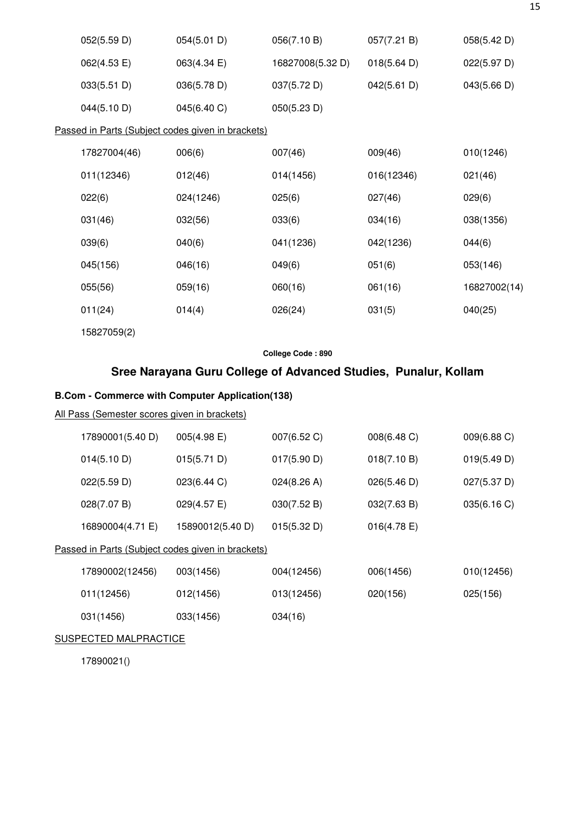| 052(5.59 D)  | 054(5.01 D)                                       | 056(7.10 B)      | 057(7.21 B) | 058(5.42 D)  |
|--------------|---------------------------------------------------|------------------|-------------|--------------|
| 062(4.53 E)  | 063(4.34 E)                                       | 16827008(5.32 D) | 018(5.64 D) | 022(5.97 D)  |
| 033(5.51 D)  | 036(5.78 D)                                       | 037(5.72 D)      | 042(5.61 D) | 043(5.66 D)  |
| 044(5.10 D)  | 045(6.40 C)                                       | 050(5.23 D)      |             |              |
|              | Passed in Parts (Subject codes given in brackets) |                  |             |              |
| 17827004(46) | 006(6)                                            | 007(46)          | 009(46)     | 010(1246)    |
| 011(12346)   | 012(46)                                           | 014(1456)        | 016(12346)  | 021(46)      |
| 022(6)       | 024(1246)                                         | 025(6)           | 027(46)     | 029(6)       |
| 031(46)      | 032(56)                                           | 033(6)           | 034(16)     | 038(1356)    |
| 039(6)       | 040(6)                                            | 041(1236)        | 042(1236)   | 044(6)       |
| 045(156)     | 046(16)                                           | 049(6)           | 051(6)      | 053(146)     |
| 055(56)      | 059(16)                                           | 060(16)          | 061(16)     | 16827002(14) |
| 011(24)      | 014(4)                                            | 026(24)          | 031(5)      | 040(25)      |
| 15827059(2)  |                                                   |                  |             |              |

# **Sree Narayana Guru College of Advanced Studies, Punalur, Kollam**

# **B.Com - Commerce with Computer Application(138)**

### All Pass (Semester scores given in brackets)

| 17890001(5.40 D) | $005(4.98)$ E)                                    | $007(6.52)$ C) | 008(6.48 C)    | $009(6.88)$ C) |
|------------------|---------------------------------------------------|----------------|----------------|----------------|
| 014(5.10 D)      | 015(5.71 D)                                       | 017(5.90 D)    | 018(7.10 B)    | 019(5.49 D)    |
| 022(5.59 D)      | 023(6.44 C)                                       | 024(8.26 A)    | 026(5.46 D)    | 027(5.37 D)    |
| 028(7.07 B)      | $029(4.57 \text{ E})$                             | 030(7.52 B)    | 032(7.63 B)    | 035(6.16 C)    |
| 16890004(4.71 E) | 15890012(5.40 D)                                  | 015(5.32 D)    | $016(4.78)$ E) |                |
|                  | Passed in Parts (Subject codes given in brackets) |                |                |                |
| 17890002(12456)  | 003(1456)                                         | 004(12456)     | 006(1456)      | 010(12456)     |
| 011(12456)       | 012(1456)                                         | 013(12456)     | 020(156)       | 025(156)       |
| 031(1456)        | 033(1456)                                         | 034(16)        |                |                |

#### SUSPECTED MALPRACTICE

17890021()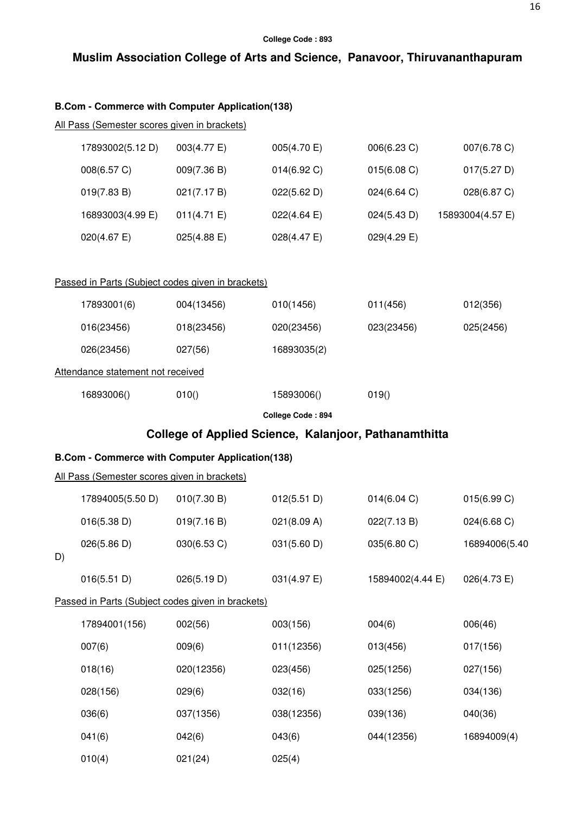# **Muslim Association College of Arts and Science, Panavoor, Thiruvananthapuram**

# **B.Com - Commerce with Computer Application(138)**

010(4) 021(24) 025(4)

|    | All Pass (Semester scores given in brackets)           |             |                       |                                                       |                  |
|----|--------------------------------------------------------|-------------|-----------------------|-------------------------------------------------------|------------------|
|    | 17893002(5.12 D)                                       | 003(4.77 E) | 005(4.70 E)           | 006(6.23 C)                                           | 007(6.78 C)      |
|    | 008(6.57 C)                                            | 009(7.36 B) | 014(6.92 C)           | 015(6.08 C)                                           | 017(5.27 D)      |
|    | 019(7.83 B)                                            | 021(7.17 B) | 022(5.62 D)           | 024(6.64 C)                                           | 028(6.87 C)      |
|    | 16893003(4.99 E)                                       | 011(4.71 E) | $022(4.64 \text{ E})$ | 024(5.43 D)                                           | 15893004(4.57 E) |
|    | 020(4.67 E)                                            | 025(4.88 E) | $028(4.47 \text{ E})$ | 029(4.29 E)                                           |                  |
|    | Passed in Parts (Subject codes given in brackets)      |             |                       |                                                       |                  |
|    | 17893001(6)                                            | 004(13456)  | 010(1456)             | 011(456)                                              | 012(356)         |
|    | 016(23456)                                             | 018(23456)  | 020(23456)            | 023(23456)                                            | 025(2456)        |
|    | 026(23456)                                             | 027(56)     | 16893035(2)           |                                                       |                  |
|    | Attendance statement not received                      |             |                       |                                                       |                  |
|    | 16893006()                                             | 010()       | 15893006()            | 019()                                                 |                  |
|    |                                                        |             | College Code: 894     |                                                       |                  |
|    |                                                        |             |                       | College of Applied Science, Kalanjoor, Pathanamthitta |                  |
|    | <b>B.Com - Commerce with Computer Application(138)</b> |             |                       |                                                       |                  |
|    | All Pass (Semester scores given in brackets)           |             |                       |                                                       |                  |
|    | 17894005(5.50 D)                                       | 010(7.30 B) | 012(5.51 D)           | 014(6.04 C)                                           | 015(6.99 C)      |
|    | 016(5.38 D)                                            | 019(7.16 B) | 021(8.09 A)           | 022(7.13 B)                                           | 024(6.68 C)      |
| D) | 026(5.86 D)                                            | 030(6.53 C) | 031(5.60 D)           | 035(6.80 C)                                           | 16894006(5.40    |
|    | 016(5.51 D)                                            | 026(5.19 D) | 031(4.97 E)           | 15894002(4.44 E)                                      | 026(4.73 E)      |
|    | Passed in Parts (Subject codes given in brackets)      |             |                       |                                                       |                  |
|    | 17894001(156)                                          | 002(56)     | 003(156)              | 004(6)                                                | 006(46)          |
|    | 007(6)                                                 | 009(6)      | 011(12356)            | 013(456)                                              | 017(156)         |
|    | 018(16)                                                | 020(12356)  | 023(456)              | 025(1256)                                             | 027(156)         |
|    | 028(156)                                               | 029(6)      | 032(16)               | 033(1256)                                             | 034(136)         |
|    | 036(6)                                                 | 037(1356)   | 038(12356)            | 039(136)                                              | 040(36)          |
|    | 041(6)                                                 | 042(6)      | 043(6)                | 044(12356)                                            | 16894009(4)      |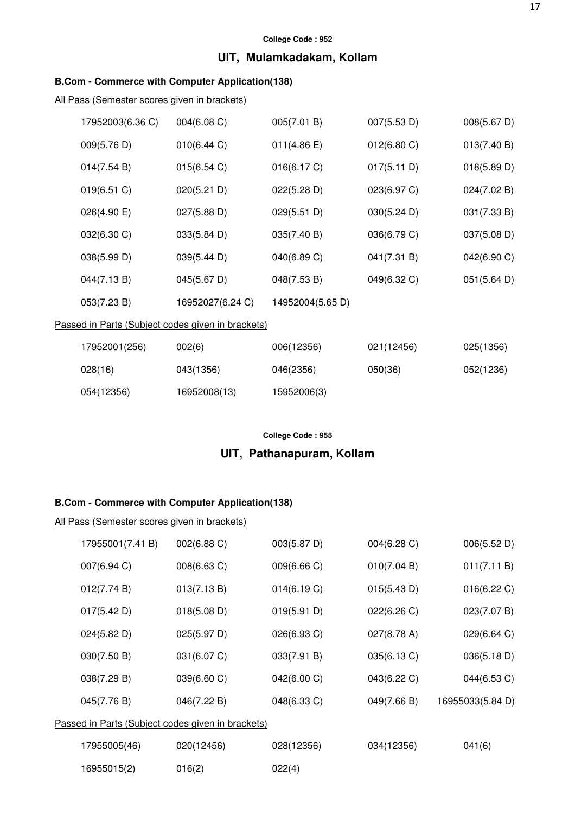# **UIT, Mulamkadakam, Kollam**

# **B.Com - Commerce with Computer Application(138)**

All Pass (Semester scores given in brackets)

| 17952003(6.36 C) | 004(6.08 C)                                       | 005(7.01 B)      | 007(5.53 D)           | 008(5.67 D) |
|------------------|---------------------------------------------------|------------------|-----------------------|-------------|
| 009(5.76 D)      | 010(6.44 C)                                       | 011(4.86 E)      | $012(6.80 \text{ C})$ | 013(7.40 B) |
| 014(7.54 B)      | 015(6.54 C)                                       | 016(6.17 C)      | 017(5.11 D)           | 018(5.89 D) |
| 019(6.51)        | 020(5.21 D)                                       | 022(5.28 D)      | 023(6.97 C)           | 024(7.02 B) |
| 026(4.90 E)      | 027(5.88 D)                                       | 029(5.51 D)      | 030(5.24 D)           | 031(7.33 B) |
| 032(6.30 C)      | 033(5.84 D)                                       | 035(7.40 B)      | 036(6.79 C)           | 037(5.08 D) |
| 038(5.99 D)      | 039(5.44 D)                                       | 040(6.89 C)      | 041(7.31 B)           | 042(6.90 C) |
| 044(7.13 B)      | 045(5.67 D)                                       | 048(7.53 B)      | 049(6.32 C)           | 051(5.64 D) |
| 053(7.23 B)      | 16952027(6.24 C)                                  | 14952004(5.65 D) |                       |             |
|                  | Passed in Parts (Subject codes given in brackets) |                  |                       |             |
| 17952001(256)    | 002(6)                                            | 006(12356)       | 021(12456)            | 025(1356)   |

| $1100 - 0011 - 007$ | $00 - 01$    | $00011 - 0001$ |         | $0 - 0$ , $0 - 0$ |
|---------------------|--------------|----------------|---------|-------------------|
| 028(16)             | 043(1356)    | 046(2356)      | 050(36) | 052(1236)         |
| 054(12356)          | 16952008(13) | 15952006(3)    |         |                   |

### **College Code : 955**

# **UIT, Pathanapuram, Kollam**

### **B.Com - Commerce with Computer Application(138)**

| 17955001(7.41 B)                                  | 002(6.88 C) | 003(5.87 D) | 004(6.28)   | 006(5.52 D)      |  |  |
|---------------------------------------------------|-------------|-------------|-------------|------------------|--|--|
| 007(6.94 C)                                       | 008(6.63 C) | 009(6.66 C) | 010(7.04 B) | 011(7.11 B)      |  |  |
| 012(7.74 B)                                       | 013(7.13 B) | 014(6.19 C) | 015(5.43 D) | 016(6.22 C)      |  |  |
| 017(5.42 D)                                       | 018(5.08 D) | 019(5.91 D) | 022(6.26)   | 023(7.07 B)      |  |  |
| 024(5.82 D)                                       | 025(5.97 D) | 026(6.93 C) | 027(8.78 A) | 029(6.64 C)      |  |  |
| 030(7.50 B)                                       | 031(6.07 C) | 033(7.91 B) | 035(6.13 C) | 036(5.18 D)      |  |  |
| 038(7.29 B)                                       | 039(6.60 C) | 042(6.00 C) | 043(6.22 C) | 044(6.53 C)      |  |  |
| 045(7.76 B)                                       | 046(7.22 B) | 048(6.33 C) | 049(7.66 B) | 16955033(5.84 D) |  |  |
| Passed in Parts (Subject codes given in brackets) |             |             |             |                  |  |  |
| 17955005(46)                                      | 020(12456)  | 028(12356)  | 034(12356)  | 041(6)           |  |  |
| 16955015(2)                                       | 016(2)      | 022(4)      |             |                  |  |  |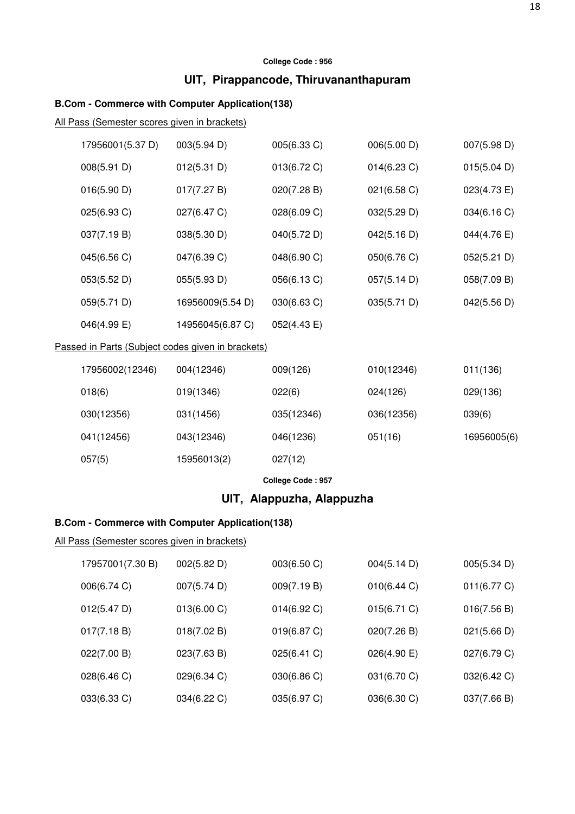# **UIT, Pirappancode, Thiruvananthapuram**

# **B.Com - Commerce with Computer Application(138)**

All Pass (Semester scores given in brackets)

| 17956001(5.37 D)                                  | 003(5.94 D)      | 005(6.33 C)           | 006(5.00 D)    | 007(5.98 D) |  |  |
|---------------------------------------------------|------------------|-----------------------|----------------|-------------|--|--|
| 008(5.91 D)                                       | 012(5.31 D)      | 013(6.72 C)           | $014(6.23)$ C) | 015(5.04 D) |  |  |
| 016(5.90 D)                                       | 017(7.27 B)      | 020(7.28 B)           | 021(6.58 C)    | 023(4.73 E) |  |  |
| 025(6.93 C)                                       | 027(6.47 C)      | 028(6.09 C)           | 032(5.29 D)    | 034(6.16 C) |  |  |
| 037(7.19 B)                                       | 038(5.30 D)      | 040(5.72 D)           | 042(5.16 D)    | 044(4.76 E) |  |  |
| 045(6.56 C)                                       | 047(6.39 C)      | 048(6.90 C)           | 050(6.76 C)    | 052(5.21 D) |  |  |
| 053(5.52 D)                                       | 055(5.93 D)      | 056(6.13 C)           | 057(5.14 D)    | 058(7.09 B) |  |  |
| 059(5.71 D)                                       | 16956009(5.54 D) | 030(6.63 C)           | 035(5.71 D)    | 042(5.56 D) |  |  |
| $046(4.99)$ E)                                    | 14956045(6.87 C) | $052(4.43 \text{ E})$ |                |             |  |  |
| Passed in Parts (Subject codes given in brackets) |                  |                       |                |             |  |  |

| 17956002(12346) | 004(12346)  | 009(126)   | 010(12346) | 011(136)    |
|-----------------|-------------|------------|------------|-------------|
| 018(6)          | 019(1346)   | 022(6)     | 024(126)   | 029(136)    |
| 030(12356)      | 031(1456)   | 035(12346) | 036(12356) | 039(6)      |
| 041(12456)      | 043(12346)  | 046(1236)  | 051(16)    | 16956005(6) |
| 057(5)          | 15956013(2) | 027(12)    |            |             |

**College Code : 957** 

# **UIT, Alappuzha, Alappuzha**

# **B.Com - Commerce with Computer Application(138)**

| 17957001(7.30 B) | 002(5.82 D) | 003(6.50 C)    | 004(5.14 D) | 005(5.34 D) |
|------------------|-------------|----------------|-------------|-------------|
| 006(6.74 C)      | 007(5.74 D) | 009(7.19 B)    | 010(6.44 C) | 011(6.77 C) |
| 012(5.47 D)      | 013(6.00 C) | $014(6.92)$ C) | 015(6.71)   | 016(7.56 B) |
| 017(7.18 B)      | 018(7.02 B) | 019(6.87 C)    | 020(7.26 B) | 021(5.66 D) |
| 022(7.00 B)      | 023(7.63 B) | 025(6.41 C)    | 026(4.90 E) | 027(6.79 C) |
| 028(6.46 C)      | 029(6.34 C) | 030(6.86 C)    | 031(6.70 C) | 032(6.42 C) |
| 033(6.33 C)      | 034(6.22 C) | 035(6.97 C)    | 036(6.30 C) | 037(7.66 B) |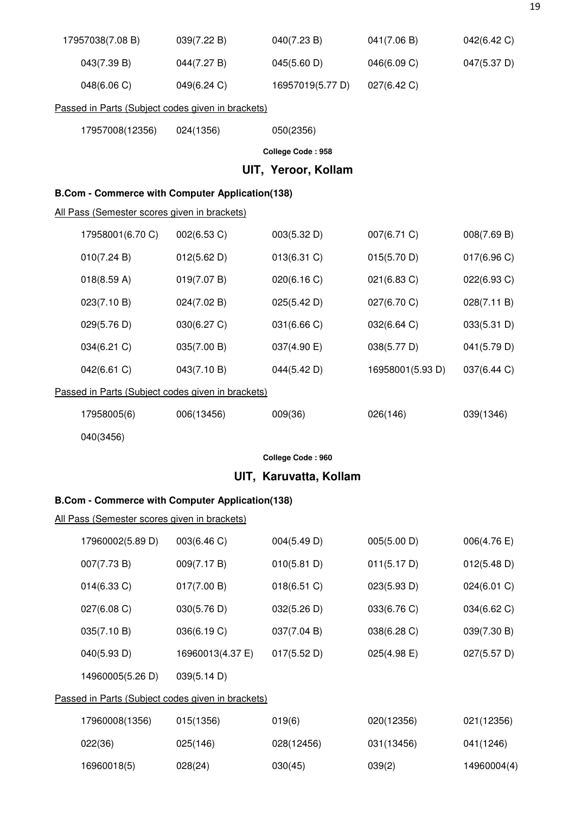| 17957038(7.08 B)                                       | 039(7.22 B) | 040(7.23 B)         | 041(7.06 B) | 042(6.42 C) |
|--------------------------------------------------------|-------------|---------------------|-------------|-------------|
| 043(7.39 B)                                            | 044(7.27 B) | 045(5.60 D)         | 046(6.09 C) | 047(5.37 D) |
| 048(6.06 C)                                            | 049(6.24 C) | 16957019(5.77 D)    | 027(6.42 C) |             |
| Passed in Parts (Subject codes given in brackets)      |             |                     |             |             |
| 17957008(12356)                                        | 024(1356)   | 050(2356)           |             |             |
|                                                        |             | College Code: 958   |             |             |
|                                                        |             | UIT, Yeroor, Kollam |             |             |
| <b>B.Com - Commerce with Computer Application(138)</b> |             |                     |             |             |
| All Pass (Semester scores given in brackets)           |             |                     |             |             |
| 17958001(6.70 C)                                       | 002(6.53 C) | 003(5.32 D)         | 007(6.71 C) | 008(7.69 B) |
| 010(7.24 B)                                            | 012(5.62 D) | 013(6.31)           | 015(5.70 D) | 017(6.96)   |

| 018(8.59 A)                                       | 019(7.07 B) | 020(6.16)   | $021(6.83)$ C)   | 022(6.93 C) |  |  |  |
|---------------------------------------------------|-------------|-------------|------------------|-------------|--|--|--|
| 023(7.10 B)                                       | 024(7.02 B) | 025(5.42 D) | 027(6.70 C)      | 028(7.11 B) |  |  |  |
| 029(5.76 D)                                       | 030(6.27 C) | 031(6.66 C) | 032(6.64)        | 033(5.31 D) |  |  |  |
| 034(6.21 C)                                       | 035(7.00 B) | 037(4.90 E) | 038(5.77 D)      | 041(5.79 D) |  |  |  |
| 042(6.61 C)                                       | 043(7.10 B) | 044(5.42 D) | 16958001(5.93 D) | 037(6.44 C) |  |  |  |
| Passed in Parts (Subject codes given in brackets) |             |             |                  |             |  |  |  |
| 17958005(6)                                       | 006(13456)  | 009(36)     | 026(146)         | 039(1346)   |  |  |  |

040(3456)

**College Code : 960** 

# **UIT, Karuvatta, Kollam**

# **B.Com - Commerce with Computer Application(138)**

| 17960002(5.89 D)                                  | 003(6.46 C)      | 004(5.49 D) | 005(5.00 D) | 006(4.76 E) |  |  |
|---------------------------------------------------|------------------|-------------|-------------|-------------|--|--|
| 007(7.73 B)                                       | 009(7.17 B)      | 010(5.81 D) | 011(5.17 D) | 012(5.48 D) |  |  |
| $014(6.33)$ C)                                    | 017(7.00 B)      | 018(6.51)   | 023(5.93 D) | 024(6.01 C) |  |  |
| 027(6.08 C)                                       | 030(5.76 D)      | 032(5.26 D) | 033(6.76 C) | 034(6.62 C) |  |  |
| 035(7.10 B)                                       | 036(6.19 C)      | 037(7.04 B) | 038(6.28 C) | 039(7.30 B) |  |  |
| 040(5.93 D)                                       | 16960013(4.37 E) | 017(5.52 D) | 025(4.98 E) | 027(5.57 D) |  |  |
| 14960005(5.26 D)                                  | 039(5.14 D)      |             |             |             |  |  |
| Passed in Parts (Subject codes given in brackets) |                  |             |             |             |  |  |
| 17960008(1356)                                    | 015(1356)        | 019(6)      | 020(12356)  | 021(12356)  |  |  |
| 022(36)                                           | 025(146)         | 028(12456)  | 031(13456)  | 041(1246)   |  |  |
| 16960018(5)                                       | 028(24)          | 030(45)     | 039(2)      | 14960004(4) |  |  |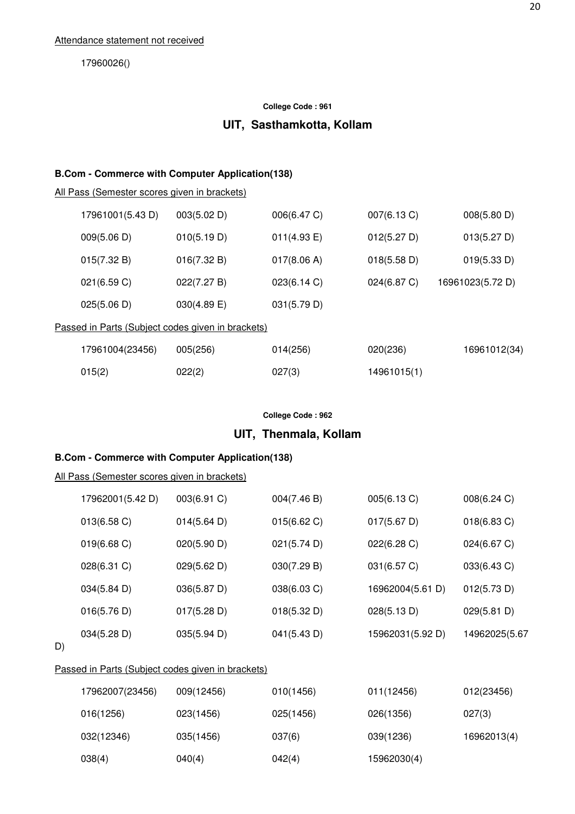17960026()

#### **College Code : 961**

# **UIT, Sasthamkotta, Kollam**

#### **B.Com - Commerce with Computer Application(138)**

All Pass (Semester scores given in brackets)

| 17961001(5.43 D)                                  | 003(5.02 D)    | 006(6.47 C) | 007(6.13 C) | 008(5.80 D)      |  |  |  |
|---------------------------------------------------|----------------|-------------|-------------|------------------|--|--|--|
| 009(5.06 D)                                       | 010(5.19 D)    | 011(4.93 E) | 012(5.27 D) | 013(5.27 D)      |  |  |  |
| 015(7.32 B)                                       | 016(7.32 B)    | 017(8.06 A) | 018(5.58 D) | 019(5.33 D)      |  |  |  |
| 021(6.59 C)                                       | 022(7.27 B)    | 023(6.14 C) | 024(6.87 C) | 16961023(5.72 D) |  |  |  |
| 025(5.06 D)                                       | $030(4.89)$ E) | 031(5.79 D) |             |                  |  |  |  |
| Passed in Parts (Subject codes given in brackets) |                |             |             |                  |  |  |  |
| 17961004(23456)                                   | 005(256)       | 014(256)    | 020(236)    | 16961012(34)     |  |  |  |
| 015(2)                                            | 022(2)         | 027(3)      | 14961015(1) |                  |  |  |  |

#### **College Code : 962**

# **UIT, Thenmala, Kollam**

#### **B.Com - Commerce with Computer Application(138)**

#### All Pass (Semester scores given in brackets)

| 17962001(5.42 D)      | 003(6.91 C) | 004(7.46 B) | 005(6.13 C)      | 008(6.24 C)    |
|-----------------------|-------------|-------------|------------------|----------------|
| 013(6.58)             | 014(5.64 D) | 015(6.62)   | 017(5.67 D)      | $018(6.83)$ C) |
| $019(6.68 \text{ C})$ | 020(5.90 D) | 021(5.74 D) | 022(6.28)        | 024(6.67 C)    |
| 028(6.31 C)           | 029(5.62 D) | 030(7.29 B) | 031(6.57 C)      | 033(6.43 C)    |
| 034(5.84 D)           | 036(5.87 D) | 038(6.03 C) | 16962004(5.61 D) | 012(5.73 D)    |
| 016(5.76 D)           | 017(5.28 D) | 018(5.32 D) | 028(5.13 D)      | 029(5.81 D)    |
| 034(5.28 D)           | 035(5.94 D) | 041(5.43 D) | 15962031(5.92 D) | 14962025(5.67  |

D)

# Passed in Parts (Subject codes given in brackets)

| 17962007(23456) | 009(12456) | 010(1456) | 011(12456)  | 012(23456)  |
|-----------------|------------|-----------|-------------|-------------|
| 016(1256)       | 023(1456)  | 025(1456) | 026(1356)   | 027(3)      |
| 032(12346)      | 035(1456)  | 037(6)    | 039(1236)   | 16962013(4) |
| 038(4)          | 040(4)     | 042(4)    | 15962030(4) |             |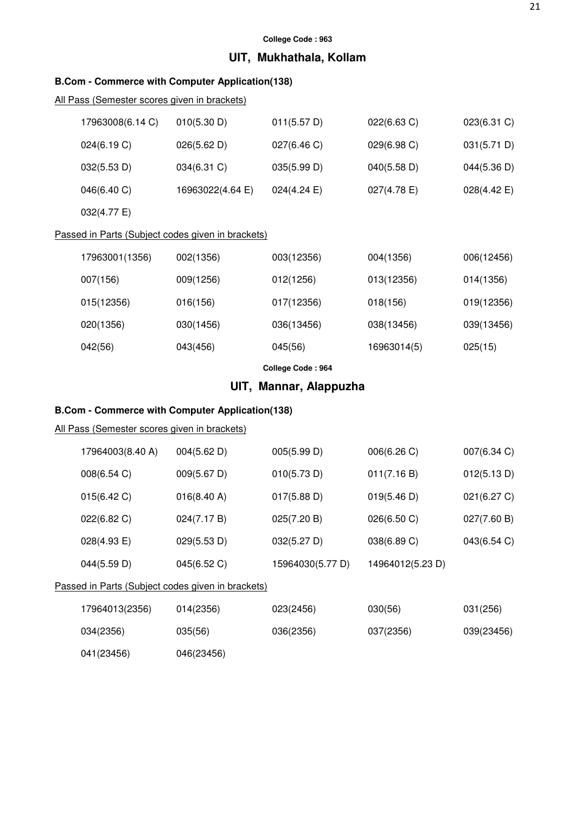# **UIT, Mukhathala, Kollam**

### **B.Com - Commerce with Computer Application(138)**

# All Pass (Semester scores given in brackets)

| 17963008(6.14 C)                                  | 010(5.30 D)      | 011(5.57 D)    | 022(6.63 C)    | $023(6.31)$ C)        |  |  |  |
|---------------------------------------------------|------------------|----------------|----------------|-----------------------|--|--|--|
| 024(6.19 C)                                       | 026(5.62 D)      | 027(6.46 C)    | 029(6.98)      | 031(5.71 D)           |  |  |  |
| 032(5.53 D)                                       | 034(6.31 C)      | 035(5.99 D)    | 040(5.58 D)    | 044(5.36 D)           |  |  |  |
| 046(6.40 C)                                       | 16963022(4.64 E) | $024(4.24)$ E) | $027(4.78)$ E) | $028(4.42 \text{ E})$ |  |  |  |
| 032(4.77 E)                                       |                  |                |                |                       |  |  |  |
| Dessad in Darts (Cubiset sades aives in braskets) |                  |                |                |                       |  |  |  |

#### Passed in Parts (Subject codes given in brackets)

| 17963001(1356) | 002(1356) | 003(12356) | 004(1356)   | 006(12456) |
|----------------|-----------|------------|-------------|------------|
| 007(156)       | 009(1256) | 012(1256)  | 013(12356)  | 014(1356)  |
| 015(12356)     | 016(156)  | 017(12356) | 018(156)    | 019(12356) |
| 020(1356)      | 030(1456) | 036(13456) | 038(13456)  | 039(13456) |
| 042(56)        | 043(456)  | 045(56)    | 16963014(5) | 025(15)    |
|                |           |            |             |            |

**College Code : 964** 

# **UIT, Mannar, Alappuzha**

# **B.Com - Commerce with Computer Application(138)**

### All Pass (Semester scores given in brackets)

| 17964003(8.40 A) | 004(5.62 D) | 005(5.99 D)      | 006(6.26)        | $007(6.34)$ C) |
|------------------|-------------|------------------|------------------|----------------|
| 008(6.54 C)      | 009(5.67 D) | 010(5.73 D)      | 011(7.16 B)      | 012(5.13 D)    |
| 015(6.42 C)      | 016(8.40 A) | 017(5.88 D)      | 019(5.46 D)      | 021(6.27 C)    |
| 022(6.82 C)      | 024(7.17 B) | 025(7.20 B)      | 026(6.50 C)      | 027(7.60 B)    |
| 028(4.93 E)      | 029(5.53 D) | 032(5.27 D)      | 038(6.89 C)      | 043(6.54 C)    |
| 044(5.59 D)      | 045(6.52 C) | 15964030(5.77 D) | 14964012(5.23 D) |                |
|                  |             |                  |                  |                |

### Passed in Parts (Subject codes given in brackets)

| 17964013(2356) | 014(2356)  | 023(2456) | 030(56)   | 031(256)   |
|----------------|------------|-----------|-----------|------------|
| 034(2356)      | 035(56)    | 036(2356) | 037(2356) | 039(23456) |
| 041(23456)     | 046(23456) |           |           |            |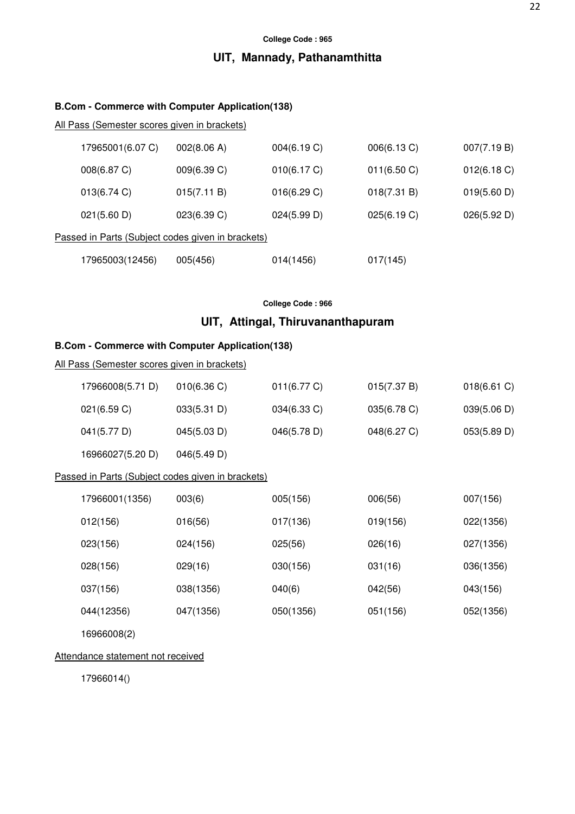# **UIT, Mannady, Pathanamthitta**

### **B.Com - Commerce with Computer Application(138)**

All Pass (Semester scores given in brackets)

| 17965001(6.07 C)                                  | 002(8.06 A) | 004(6.19 C) | 006(6.13 C) | 007(7.19 B) |  |
|---------------------------------------------------|-------------|-------------|-------------|-------------|--|
| 008(6.87 C)                                       | 009(6.39 C) | 010(6.17 C) | 011(6.50 C) | 012(6.18)   |  |
| 013(6.74)                                         | 015(7.11 B) | 016(6.29 C) | 018(7.31 B) | 019(5.60 D) |  |
| 021(5.60 D)                                       | 023(6.39 C) | 024(5.99 D) | 025(6.19 C) | 026(5.92 D) |  |
| Passed in Parts (Subject codes given in brackets) |             |             |             |             |  |
| 17965003(12456)                                   | 005(456)    | 014(1456)   | 017(145)    |             |  |

### **College Code : 966**

# **UIT, Attingal, Thiruvananthapuram**

#### **B.Com - Commerce with Computer Application(138)**

| <u>All Pass (Semester scores given in brackets)</u> |             |             |             |             |  |  |
|-----------------------------------------------------|-------------|-------------|-------------|-------------|--|--|
| 17966008(5.71 D)                                    | 010(6.36)   | 011(6.77 C) | 015(7.37 B) | 018(6.61)   |  |  |
| 021(6.59 C)                                         | 033(5.31 D) | 034(6.33 C) | 035(6.78 C) | 039(5.06 D) |  |  |
| 041(5.77 D)                                         | 045(5.03 D) | 046(5.78 D) | 048(6.27 C) | 053(5.89 D) |  |  |
| 16966027(5.20 D)                                    | 046(5.49 D) |             |             |             |  |  |
| Passed in Parts (Subject codes given in brackets)   |             |             |             |             |  |  |
| 17966001(1356)                                      | 003(6)      | 005(156)    | 006(56)     | 007(156)    |  |  |
| 012(156)                                            | 016(56)     | 017(136)    | 019(156)    | 022(1356)   |  |  |
| 023(156)                                            | 024(156)    | 025(56)     | 026(16)     | 027(1356)   |  |  |
| 028(156)                                            | 029(16)     | 030(156)    | 031(16)     | 036(1356)   |  |  |
| 037(156)                                            | 038(1356)   | 040(6)      | 042(56)     | 043(156)    |  |  |
| 044(12356)                                          | 047(1356)   | 050(1356)   | 051(156)    | 052(1356)   |  |  |
| 16966008(2)                                         |             |             |             |             |  |  |

### Attendance statement not received

17966014()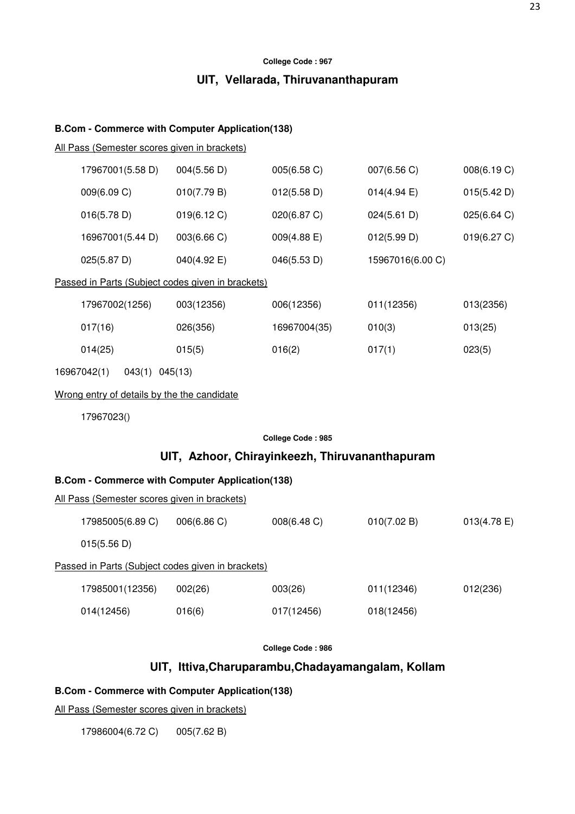# **UIT, Vellarada, Thiruvananthapuram**

### **B.Com - Commerce with Computer Application(138)**

All Pass (Semester scores given in brackets)

| 17967001(5.58 D)                                       | 004(5.56 D)                                    | 005(6.58 C)       | 007(6.56 C)      | 008(6.19 C)    |  |
|--------------------------------------------------------|------------------------------------------------|-------------------|------------------|----------------|--|
| 009(6.09 C)                                            | 010(7.79 B)                                    | 012(5.58 D)       | 014(4.94)        | 015(5.42 D)    |  |
| 016(5.78 D)                                            | 019(6.12 C)                                    | 020(6.87 C)       | 024(5.61 D)      | 025(6.64 C)    |  |
| 16967001(5.44 D)                                       | 003(6.66 C)                                    | 009(4.88 E)       | 012(5.99 D)      | 019(6.27 C)    |  |
| 025(5.87 D)                                            | 040(4.92 E)                                    | 046(5.53 D)       | 15967016(6.00 C) |                |  |
| Passed in Parts (Subject codes given in brackets)      |                                                |                   |                  |                |  |
| 17967002(1256)                                         | 003(12356)                                     | 006(12356)        | 011(12356)       | 013(2356)      |  |
| 017(16)                                                | 026(356)                                       | 16967004(35)      | 010(3)           | 013(25)        |  |
| 014(25)                                                | 015(5)                                         | 016(2)            | 017(1)           | 023(5)         |  |
| 16967042(1)<br>043(1) 045(13)                          |                                                |                   |                  |                |  |
| Wrong entry of details by the the candidate            |                                                |                   |                  |                |  |
| 17967023()                                             |                                                |                   |                  |                |  |
|                                                        |                                                | College Code: 985 |                  |                |  |
|                                                        | UIT, Azhoor, Chirayinkeezh, Thiruvananthapuram |                   |                  |                |  |
| <b>B.Com - Commerce with Computer Application(138)</b> |                                                |                   |                  |                |  |
| All Pass (Semester scores given in brackets)           |                                                |                   |                  |                |  |
| 17985005(6.89 C)                                       | 006(6.86 C)                                    | 008(6.48 C)       | 010(7.02 B)      | $013(4.78)$ E) |  |
| 015(5.56 D)                                            |                                                |                   |                  |                |  |
| Passed in Parts (Subject codes given in brackets)      |                                                |                   |                  |                |  |
| 17985001(12356)                                        | 002(26)                                        | 003(26)           | 011(12346)       | 012(236)       |  |
| 014(12456)                                             | 016(6)                                         | 017(12456)        | 018(12456)       |                |  |

**College Code : 986** 

# **UIT, Ittiva,Charuparambu,Chadayamangalam, Kollam**

### **B.Com - Commerce with Computer Application(138)**

All Pass (Semester scores given in brackets)

17986004(6.72 C) 005(7.62 B)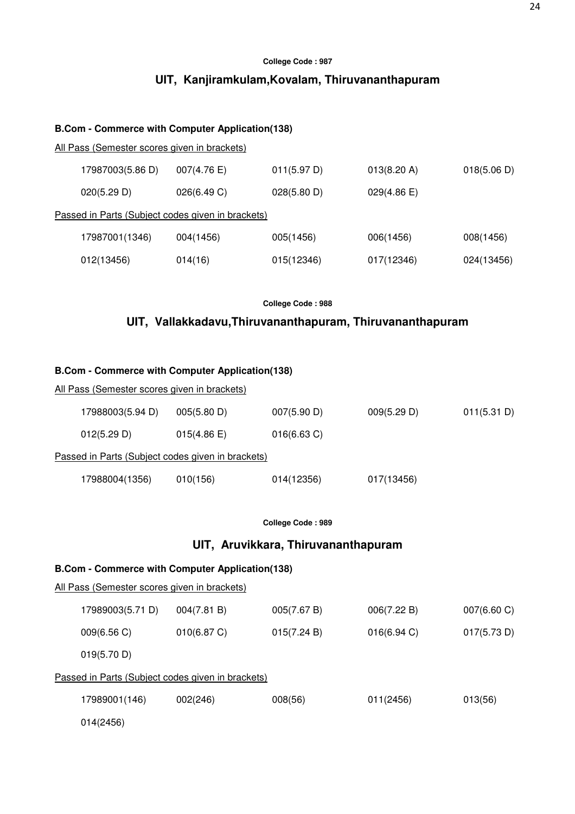# **UIT, Kanjiramkulam,Kovalam, Thiruvananthapuram**

### **B.Com - Commerce with Computer Application(138)**

All Pass (Semester scores given in brackets)

| 17987003(5.86 D)                                  | $007(4.76)$ E) | 011(5.97 D) | 013(8.20 A) | 018(5.06 D) |  |  |
|---------------------------------------------------|----------------|-------------|-------------|-------------|--|--|
| 020(5.29 D)                                       | 026(6.49 C)    | 028(5.80 D) | 029(4.86)   |             |  |  |
| Passed in Parts (Subject codes given in brackets) |                |             |             |             |  |  |
| 17987001(1346)                                    | 004(1456)      | 005(1456)   | 006(1456)   | 008(1456)   |  |  |
| 012(13456)                                        | 014(16)        | 015(12346)  | 017(12346)  | 024(13456)  |  |  |

**College Code : 988** 

# **UIT, Vallakkadavu,Thiruvananthapuram, Thiruvananthapuram**

### **B.Com - Commerce with Computer Application(138)**

| <u>All Pass (Semester scores given in brackets)</u> |             |                |             |             |  |  |
|-----------------------------------------------------|-------------|----------------|-------------|-------------|--|--|
| 17988003(5.94 D)                                    | 005(5.80 D) | 007(5.90 D)    | 009(5.29 D) | 011(5.31 D) |  |  |
| 012(5.29 D)                                         | 015(4.86)   | $016(6.63)$ C) |             |             |  |  |
| Passed in Parts (Subject codes given in brackets)   |             |                |             |             |  |  |
| 17988004(1356)                                      | 010(156)    | 014(12356)     | 017(13456)  |             |  |  |

**College Code : 989**

### **UIT, Aruvikkara, Thiruvananthapuram**

### **B.Com - Commerce with Computer Application(138)**

|                                                   | 17989003(5.71 D) | 004(7.81 B) | 005(7.67 B) | 006(7.22 B) | $007(6.60 \text{ C})$ |  |  |
|---------------------------------------------------|------------------|-------------|-------------|-------------|-----------------------|--|--|
|                                                   | 009(6.56 C)      | 010(6.87 C) | 015(7.24 B) | 016(6.94)   | 017(5.73 D)           |  |  |
|                                                   | 019(5.70 D)      |             |             |             |                       |  |  |
| Passed in Parts (Subject codes given in brackets) |                  |             |             |             |                       |  |  |
|                                                   | 17989001(146)    | 002(246)    | 008(56)     | 011(2456)   | 013(56)               |  |  |
|                                                   | 014(2456)        |             |             |             |                       |  |  |